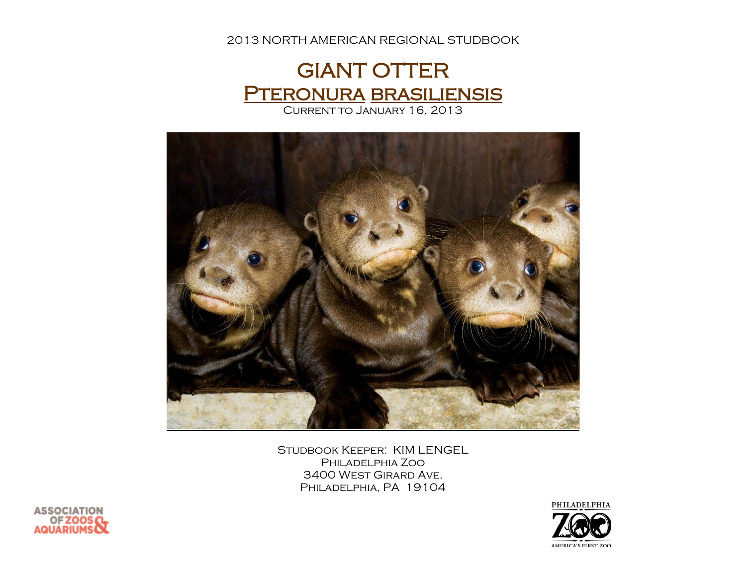2013 NORTH AMERICAN REGIONAL STUDBOOK





Studbook Keeper: KIM LENGEL Philadelphia Zoo 3400 West Girard Ave. Philadelphia, PA 19104



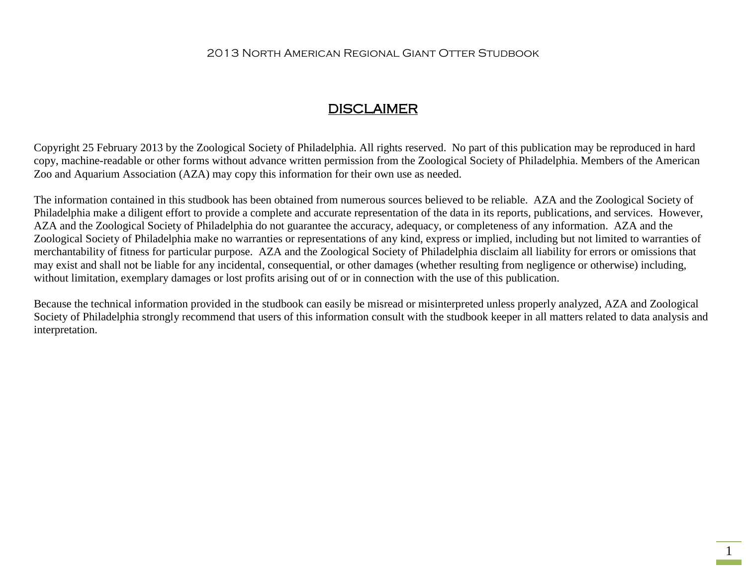#### 2013 North American Regional Giant Otter Studbook

## DISCLAIMER

Copyright 25 February 2013 by the Zoological Society of Philadelphia. All rights reserved. No part of this publication may be reproduced in hard copy, machine-readable or other forms without advance written permission from the Zoological Society of Philadelphia. Members of the American Zoo and Aquarium Association (AZA) may copy this information for their own use as needed.

The information contained in this studbook has been obtained from numerous sources believed to be reliable. AZA and the Zoological Society of Philadelphia make a diligent effort to provide a complete and accurate representation of the data in its reports, publications, and services. However, AZA and the Zoological Society of Philadelphia do not guarantee the accuracy, adequacy, or completeness of any information. AZA and the Zoological Society of Philadelphia make no warranties or representations of any kind, express or implied, including but not limited to warranties of merchantability of fitness for particular purpose. AZA and the Zoological Society of Philadelphia disclaim all liability for errors or omissions that may exist and shall not be liable for any incidental, consequential, or other damages (whether resulting from negligence or otherwise) including, without limitation, exemplary damages or lost profits arising out of or in connection with the use of this publication.

Because the technical information provided in the studbook can easily be misread or misinterpreted unless properly analyzed, AZA and Zoological Society of Philadelphia strongly recommend that users of this information consult with the studbook keeper in all matters related to data analysis and interpretation.

1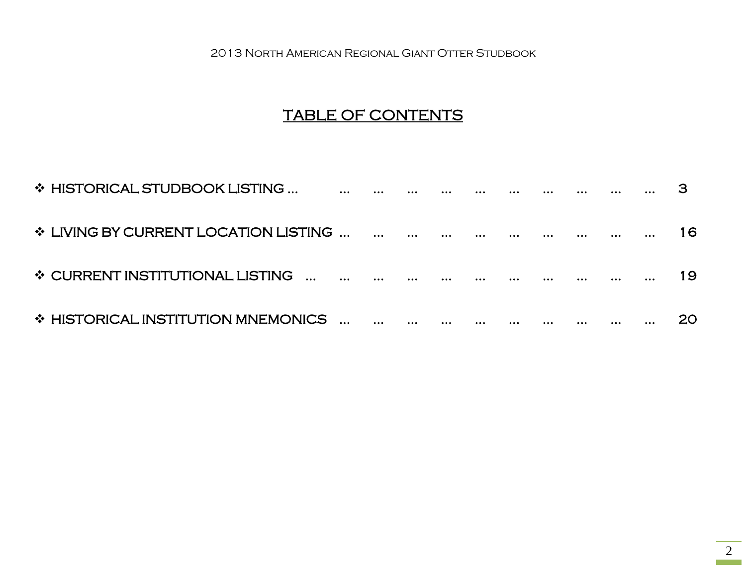2013 North American Regional Giant Otter Studbook

# TABLE OF CONTENTS

| ❖ HISTORICAL STUDBOOK LISTING        |  |          |          |   |  |  |     |
|--------------------------------------|--|----------|----------|---|--|--|-----|
| ❖ LIVING BY CURRENT LOCATION LISTING |  |          |          |   |  |  | 16  |
| ❖ CURRENT INSTITUTIONAL LISTING      |  |          |          |   |  |  | 19  |
| ❖ HISTORICAL INSTITUTION MNEMONICS   |  | $\cdots$ | $\cdots$ | . |  |  | 20. |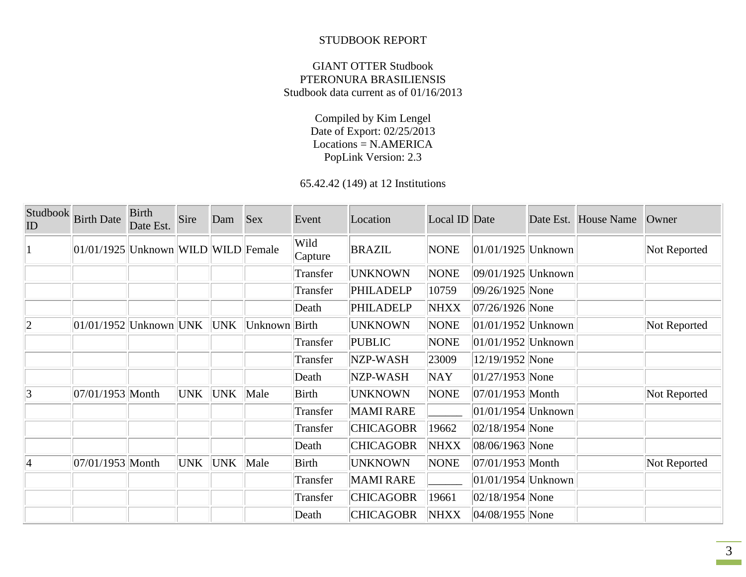#### STUDBOOK REPORT

#### GIANT OTTER Studbook PTERONURA BRASILIENSIS Studbook data current as of 01/16/2013

Compiled by Kim Lengel Date of Export: 02/25/2013 Locations = N.AMERICA PopLink Version: 2.3

65.42.42 (149) at 12 Institutions

| Studbook<br>ID  | <b>Birth Date</b>                   | <b>Birth</b><br>Date Est. | Sire | Dam | <b>Sex</b>    | Event           | Location         | Local ID Date |                        | Date Est. House Name | Owner        |
|-----------------|-------------------------------------|---------------------------|------|-----|---------------|-----------------|------------------|---------------|------------------------|----------------------|--------------|
| $\mathbf{1}$    | 01/01/1925 Unknown WILD WILD Female |                           |      |     |               | Wild<br>Capture | <b>BRAZIL</b>    | <b>NONE</b>   | $ 01/01/1925 $ Unknown |                      | Not Reported |
|                 |                                     |                           |      |     |               | Transfer        | <b>UNKNOWN</b>   | <b>NONE</b>   | $ 09/01/1925 $ Unknown |                      |              |
|                 |                                     |                           |      |     |               | Transfer        | <b>PHILADELP</b> | 10759         | 09/26/1925 None        |                      |              |
|                 |                                     |                           |      |     |               | Death           | PHILADELP        | <b>NHXX</b>   | $ 07/26/1926 $ None    |                      |              |
| $ 2\rangle$     | $ 01/01/1952 $ Unknown UNK UNK      |                           |      |     | Unknown Birth |                 | <b>UNKNOWN</b>   | <b>NONE</b>   | $ 01/01/1952 $ Unknown |                      | Not Reported |
|                 |                                     |                           |      |     |               | Transfer        | <b>PUBLIC</b>    | <b>NONE</b>   | $ 01/01/1952 $ Unknown |                      |              |
|                 |                                     |                           |      |     |               | Transfer        | NZP-WASH         | 23009         | 12/19/1952 None        |                      |              |
|                 |                                     |                           |      |     |               | Death           | NZP-WASH         | NAY           | $ 01/27/1953 $ None    |                      |              |
| 3               | 07/01/1953 Month                    |                           | UNK  | UNK | Male          | Birth           | <b>UNKNOWN</b>   | <b>NONE</b>   | $ 07/01/1953 $ Month   |                      | Not Reported |
|                 |                                     |                           |      |     |               | Transfer        | <b>MAMI RARE</b> |               | $ 01/01/1954 $ Unknown |                      |              |
|                 |                                     |                           |      |     |               | Transfer        | <b>CHICAGOBR</b> | 19662         | $ 02/18/1954 $ None    |                      |              |
|                 |                                     |                           |      |     |               | Death           | <b>CHICAGOBR</b> | NHXX          | $ 08/06/1963 $ None    |                      |              |
| $\vert 4 \vert$ | 07/01/1953 Month                    |                           | UNK  | UNK | Male          | Birth           | <b>UNKNOWN</b>   | <b>NONE</b>   | $ 07/01/1953 $ Month   |                      | Not Reported |
|                 |                                     |                           |      |     |               | Transfer        | <b>MAMI RARE</b> |               | $ 01/01/1954 $ Unknown |                      |              |
|                 |                                     |                           |      |     |               | Transfer        | <b>CHICAGOBR</b> | 19661         | $ 02/18/1954 $ None    |                      |              |
|                 |                                     |                           |      |     |               | Death           | <b>CHICAGOBR</b> | <b>NHXX</b>   | $ 04/08/1955 $ None    |                      |              |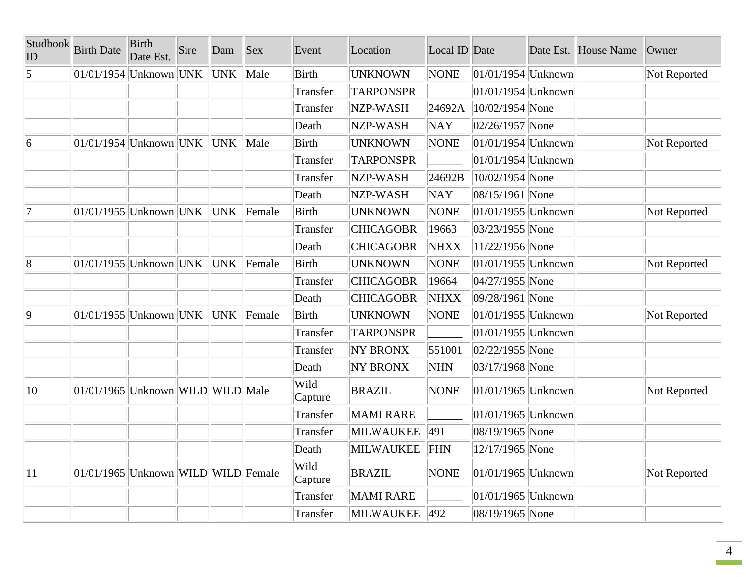| Studbook<br>ID  | <b>Birth Date</b>                     | <b>Birth</b><br>Date Est. | Sire | Dam        | <b>Sex</b> | Event           | Location                  | Local ID Date |                        | Date Est. House Name | Owner        |
|-----------------|---------------------------------------|---------------------------|------|------------|------------|-----------------|---------------------------|---------------|------------------------|----------------------|--------------|
| $\vert 5 \vert$ | $01/01/1954$ Unknown UNK              |                           |      | <b>UNK</b> | Male       | Birth           | <b>UNKNOWN</b>            | <b>NONE</b>   | $ 01/01/1954 $ Unknown |                      | Not Reported |
|                 |                                       |                           |      |            |            | Transfer        | <b>TARPONSPR</b>          |               | $ 01/01/1954 $ Unknown |                      |              |
|                 |                                       |                           |      |            |            | Transfer        | NZP-WASH                  | 24692A        | $ 10/02/1954 $ None    |                      |              |
|                 |                                       |                           |      |            |            | Death           | NZP-WASH                  | <b>NAY</b>    | $ 02/26/1957 $ None    |                      |              |
| $\overline{6}$  | $ 01/01/1954 $ Unknown UNK            |                           |      | UNK        | Male       | Birth           | <b>UNKNOWN</b>            | <b>NONE</b>   | $ 01/01/1954 $ Unknown |                      | Not Reported |
|                 |                                       |                           |      |            |            | Transfer        | <b>TARPONSPR</b>          |               | $ 01/01/1954 $ Unknown |                      |              |
|                 |                                       |                           |      |            |            | Transfer        | NZP-WASH                  | 24692B        | 10/02/1954 None        |                      |              |
|                 |                                       |                           |      |            |            | Death           | NZP-WASH                  | <b>NAY</b>    | 08/15/1961 None        |                      |              |
| 7               | $ 01/01/1955 $ Unknown $ UNK $ UNK    |                           |      |            | Female     | Birth           | <b>UNKNOWN</b>            | <b>NONE</b>   | $ 01/01/1955 $ Unknown |                      | Not Reported |
|                 |                                       |                           |      |            |            | Transfer        | <b>CHICAGOBR</b>          | 19663         | 03/23/1955 None        |                      |              |
|                 |                                       |                           |      |            |            | Death           | <b>CHICAGOBR</b>          | <b>NHXX</b>   | 11/22/1956 None        |                      |              |
| $\overline{8}$  | $ 01/01/1955 $ Unknown UNK UNK Female |                           |      |            |            | Birth           | <b>UNKNOWN</b>            | <b>NONE</b>   | $ 01/01/1955 $ Unknown |                      | Not Reported |
|                 |                                       |                           |      |            |            | Transfer        | <b>CHICAGOBR</b>          | 19664         | $ 04/27/1955 $ None    |                      |              |
|                 |                                       |                           |      |            |            | Death           | <b>CHICAGOBR</b>          | <b>NHXX</b>   | 09/28/1961 None        |                      |              |
| $\overline{9}$  | $ 01/01/1955 $ Unknown UNK UNK Female |                           |      |            |            | <b>Birth</b>    | <b>UNKNOWN</b>            | <b>NONE</b>   | $ 01/01/1955 $ Unknown |                      | Not Reported |
|                 |                                       |                           |      |            |            | Transfer        | <b>TARPONSPR</b>          |               | $ 01/01/1955 $ Unknown |                      |              |
|                 |                                       |                           |      |            |            | Transfer        | <b>NY BRONX</b>           | 551001        | $ 02/22/1955 $ None    |                      |              |
|                 |                                       |                           |      |            |            | Death           | <b>NY BRONX</b>           | <b>NHN</b>    | 03/17/1968 None        |                      |              |
| $ 10\rangle$    | 01/01/1965 Unknown WILD WILD Male     |                           |      |            |            | Wild<br>Capture | <b>BRAZIL</b>             | <b>NONE</b>   | $ 01/01/1965 $ Unknown |                      | Not Reported |
|                 |                                       |                           |      |            |            | Transfer        | <b>MAMI RARE</b>          |               | $ 01/01/1965 $ Unknown |                      |              |
|                 |                                       |                           |      |            |            | Transfer        | MILWAUKEE                 | 491           | 08/19/1965 None        |                      |              |
|                 |                                       |                           |      |            |            | Death           | <b>MILWAUKEE</b>          | FHN           | 12/17/1965 None        |                      |              |
| $ 11\rangle$    | 01/01/1965 Unknown WILD WILD Female   |                           |      |            |            | Wild<br>Capture | <b>BRAZIL</b>             | <b>NONE</b>   | $01/01/1965$ Unknown   |                      | Not Reported |
|                 |                                       |                           |      |            |            | Transfer        | <b>MAMI RARE</b>          |               | $ 01/01/1965 $ Unknown |                      |              |
|                 |                                       |                           |      |            |            | Transfer        | MILWAUKEE <sup>1492</sup> |               | 08/19/1965 None        |                      |              |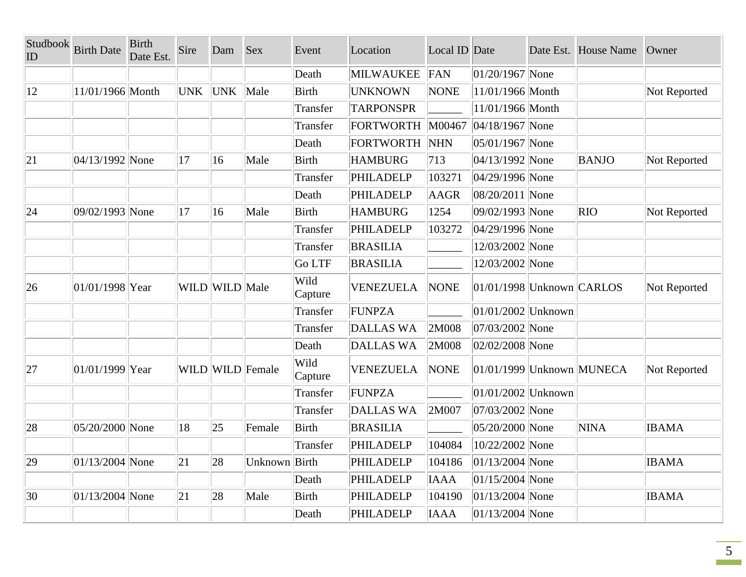| Studbook<br>ID | <b>Birth Date</b>   | <b>Birth</b><br>Date Est. | Sire | Dam            | Sex              | Event           | Location         | Local ID Date |                               | Date Est. House Name | Owner        |
|----------------|---------------------|---------------------------|------|----------------|------------------|-----------------|------------------|---------------|-------------------------------|----------------------|--------------|
|                |                     |                           |      |                |                  | Death           | MILWAUKEE        | FAN           | $ 01/20/1967 $ None           |                      |              |
| $ 12\rangle$   | 11/01/1966 Month    |                           | UNK  | <b>UNK</b>     | Male             | <b>Birth</b>    | UNKNOWN          | <b>NONE</b>   | 11/01/1966 Month              |                      | Not Reported |
|                |                     |                           |      |                |                  | Transfer        | <b>TARPONSPR</b> |               | 11/01/1966 Month              |                      |              |
|                |                     |                           |      |                |                  | Transfer        | FORTWORTH M00467 |               | $ 04/18/1967 $ None           |                      |              |
|                |                     |                           |      |                |                  | Death           | FORTWORTH NHN    |               | $ 05/01/1967 $ None           |                      |              |
| 21             | $ 04/13/1992 $ None |                           | 17   | 16             | Male             | <b>Birth</b>    | <b>HAMBURG</b>   | 713           | $ 04/13/1992 $ None           | <b>BANJO</b>         | Not Reported |
|                |                     |                           |      |                |                  | Transfer        | PHILADELP        | 103271        | 04/29/1996 None               |                      |              |
|                |                     |                           |      |                |                  | Death           | PHILADELP        | AAGR          | 08/20/2011 None               |                      |              |
| 24             | 09/02/1993 None     |                           | 17   | 16             | Male             | <b>Birth</b>    | <b>HAMBURG</b>   | 1254          | 09/02/1993 None               | <b>RIO</b>           | Not Reported |
|                |                     |                           |      |                |                  | Transfer        | PHILADELP        | 103272        | 04/29/1996 None               |                      |              |
|                |                     |                           |      |                |                  | Transfer        | <b>BRASILIA</b>  |               | 12/03/2002 None               |                      |              |
|                |                     |                           |      |                |                  | Go LTF          | <b>BRASILIA</b>  |               | 12/03/2002 None               |                      |              |
| 26             | 01/01/1998 Year     |                           |      | WILD WILD Male |                  | Wild<br>Capture | <b>VENEZUELA</b> | <b>NONE</b>   | $ 01/01/1998 $ Unknown CARLOS |                      | Not Reported |
|                |                     |                           |      |                |                  | Transfer        | <b>FUNPZA</b>    |               | $ 01/01/2002 $ Unknown        |                      |              |
|                |                     |                           |      |                |                  | Transfer        | <b>DALLAS WA</b> | 2M008         | 07/03/2002 None               |                      |              |
|                |                     |                           |      |                |                  | Death           | <b>DALLAS WA</b> | 2M008         | 02/02/2008 None               |                      |              |
| 27             | 01/01/1999 Year     |                           |      |                | WILD WILD Female | Wild<br>Capture | <b>VENEZUELA</b> | <b>NONE</b>   | 01/01/1999 Unknown MUNECA     |                      | Not Reported |
|                |                     |                           |      |                |                  | Transfer        | FUNPZA           |               | $ 01/01/2002 $ Unknown        |                      |              |
|                |                     |                           |      |                |                  | Transfer        | <b>DALLAS WA</b> | 2M007         | 07/03/2002 None               |                      |              |
| 28             | 05/20/2000 None     |                           | 18   | 25             | Female           | <b>Birth</b>    | <b>BRASILIA</b>  |               | 05/20/2000 None               | <b>NINA</b>          | <b>IBAMA</b> |
|                |                     |                           |      |                |                  | Transfer        | PHILADELP        | 104084        | 10/22/2002 None               |                      |              |
| 29             | $ 01/13/2004 $ None |                           | 21   | 28             | Unknown Birth    |                 | PHILADELP        | 104186        | $ 01/13/2004 $ None           |                      | <b>IBAMA</b> |
|                |                     |                           |      |                |                  | Death           | PHILADELP        | <b>IAAA</b>   | $ 01/15/2004 $ None           |                      |              |
| 30             | $ 01/13/2004 $ None |                           | 21   | 28             | Male             | <b>Birth</b>    | PHILADELP        | 104190        | $ 01/13/2004 $ None           |                      | <b>IBAMA</b> |
|                |                     |                           |      |                |                  | Death           | PHILADELP        | <b>IAAA</b>   | $ 01/13/2004 $ None           |                      |              |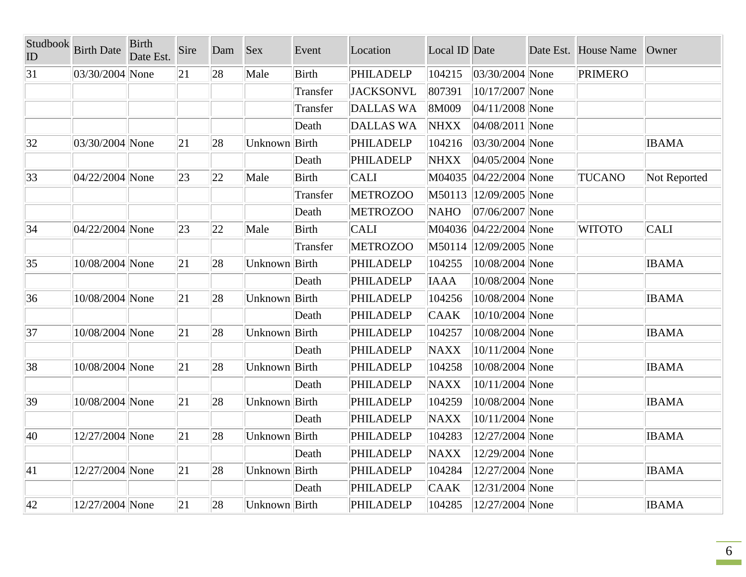| Studbook<br>ID | <b>Birth Date</b>   | <b>Birth</b><br>Date Est. | Sire         | Dam | <b>Sex</b>    | Event        | Location         | Local ID Date |                        | Date Est. House Name | Owner        |
|----------------|---------------------|---------------------------|--------------|-----|---------------|--------------|------------------|---------------|------------------------|----------------------|--------------|
| 31             | 03/30/2004 None     |                           | 21           | 28  | Male          | <b>Birth</b> | PHILADELP        | 104215        | $ 03/30/2004 $ None    | <b>PRIMERO</b>       |              |
|                |                     |                           |              |     |               | Transfer     | <b>JACKSONVL</b> | 807391        | 10/17/2007 None        |                      |              |
|                |                     |                           |              |     |               | Transfer     | <b>DALLAS WA</b> | 8M009         | $ 04/11/2008 $ None    |                      |              |
|                |                     |                           |              |     |               | Death        | <b>DALLAS WA</b> | <b>NHXX</b>   | $ 04/08/2011 $ None    |                      |              |
| 32             | 03/30/2004 None     |                           | 21           | 28  | Unknown Birth |              | PHILADELP        | 104216        | $ 03/30/2004 $ None    |                      | <b>IBAMA</b> |
|                |                     |                           |              |     |               | Death        | <b>PHILADELP</b> | <b>NHXX</b>   | $ 04/05/2004 $ None    |                      |              |
| $ 33\rangle$   | $ 04/22/2004 $ None |                           | $ 23\rangle$ | 22  | Male          | <b>Birth</b> | <b>CALI</b>      | M04035        | $ 04/22/2004 $ None    | <b>TUCANO</b>        | Not Reported |
|                |                     |                           |              |     |               | Transfer     | <b>METROZOO</b>  |               | M50113 12/09/2005 None |                      |              |
|                |                     |                           |              |     |               | Death        | <b>METROZOO</b>  | <b>NAHO</b>   | 07/06/2007 None        |                      |              |
| 34             | 04/22/2004 None     |                           | 23           | 22  | Male          | <b>Birth</b> | <b>CALI</b>      |               | M04036 04/22/2004 None | <b>WITOTO</b>        | <b>CALI</b>  |
|                |                     |                           |              |     |               | Transfer     | <b>METROZOO</b>  |               | M50114 12/09/2005 None |                      |              |
| 35             | 10/08/2004 None     |                           | 21           | 28  | Unknown Birth |              | <b>PHILADELP</b> | 104255        | 10/08/2004 None        |                      | <b>IBAMA</b> |
|                |                     |                           |              |     |               | Death        | PHILADELP        | <b>IAAA</b>   | 10/08/2004 None        |                      |              |
| 36             | 10/08/2004 None     |                           | 21           | 28  | Unknown Birth |              | PHILADELP        | 104256        | 10/08/2004 None        |                      | <b>IBAMA</b> |
|                |                     |                           |              |     |               | Death        | <b>PHILADELP</b> | <b>CAAK</b>   | 10/10/2004 None        |                      |              |
| 37             | 10/08/2004 None     |                           | 21           | 28  | Unknown Birth |              | PHILADELP        | 104257        | 10/08/2004 None        |                      | <b>IBAMA</b> |
|                |                     |                           |              |     |               | Death        | PHILADELP        | <b>NAXX</b>   | 10/11/2004 None        |                      |              |
| 38             | 10/08/2004 None     |                           | 21           | 28  | Unknown Birth |              | <b>PHILADELP</b> | 104258        | 10/08/2004 None        |                      | <b>IBAMA</b> |
|                |                     |                           |              |     |               | Death        | PHILADELP        | <b>NAXX</b>   | 10/11/2004 None        |                      |              |
| 39             | 10/08/2004 None     |                           | 21           | 28  | Unknown Birth |              | PHILADELP        | 104259        | 10/08/2004 None        |                      | <b>IBAMA</b> |
|                |                     |                           |              |     |               | Death        | <b>PHILADELP</b> | <b>NAXX</b>   | 10/11/2004 None        |                      |              |
| 40             | 12/27/2004 None     |                           | 21           | 28  | Unknown Birth |              | PHILADELP        | 104283        | 12/27/2004 None        |                      | <b>IBAMA</b> |
|                |                     |                           |              |     |               | Death        | <b>PHILADELP</b> | <b>NAXX</b>   | 12/29/2004 None        |                      |              |
| 41             | 12/27/2004 None     |                           | 21           | 28  | Unknown Birth |              | PHILADELP        | 104284        | 12/27/2004 None        |                      | <b>IBAMA</b> |
|                |                     |                           |              |     |               | Death        | <b>PHILADELP</b> | <b>CAAK</b>   | 12/31/2004 None        |                      |              |
| 42             | 12/27/2004 None     |                           | 21           | 28  | Unknown Birth |              | PHILADELP        | 104285        | 12/27/2004 None        |                      | <b>IBAMA</b> |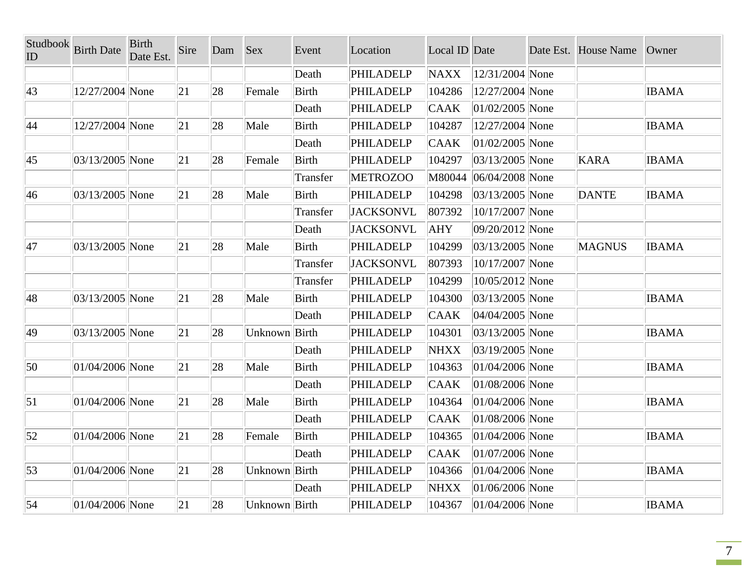| Studbook<br>ID   | <b>Birth Date</b>   | <b>Birth</b><br>Date Est. | Sire | Dam | <b>Sex</b>    | Event        | Location         | Local ID Date |                     | Date Est. House Name | Owner        |
|------------------|---------------------|---------------------------|------|-----|---------------|--------------|------------------|---------------|---------------------|----------------------|--------------|
|                  |                     |                           |      |     |               | Death        | PHILADELP        | <b>NAXX</b>   | 12/31/2004 None     |                      |              |
| $ 43\rangle$     | 12/27/2004 None     |                           | 21   | 28  | Female        | <b>Birth</b> | PHILADELP        | 104286        | 12/27/2004 None     |                      | <b>IBAMA</b> |
|                  |                     |                           |      |     |               | Death        | <b>PHILADELP</b> | <b>CAAK</b>   | $ 01/02/2005 $ None |                      |              |
| 44               | 12/27/2004 None     |                           | 21   | 28  | Male          | <b>Birth</b> | <b>PHILADELP</b> | 104287        | 12/27/2004 None     |                      | <b>IBAMA</b> |
|                  |                     |                           |      |     |               | Death        | PHILADELP        | <b>CAAK</b>   | $ 01/02/2005 $ None |                      |              |
| $ 45\rangle$     | 03/13/2005 None     |                           | 21   | 28  | Female        | <b>Birth</b> | PHILADELP        | 104297        | $ 03/13/2005 $ None | <b>KARA</b>          | <b>IBAMA</b> |
|                  |                     |                           |      |     |               | Transfer     | <b>METROZOO</b>  | M80044        | $ 06/04/2008 $ None |                      |              |
| 46               | 03/13/2005 None     |                           | 21   | 28  | Male          | <b>Birth</b> | PHILADELP        | 104298        | $ 03/13/2005 $ None | <b>DANTE</b>         | <b>IBAMA</b> |
|                  |                     |                           |      |     |               | Transfer     | <b>JACKSONVL</b> | 807392        | 10/17/2007 None     |                      |              |
|                  |                     |                           |      |     |               | Death        | <b>JACKSONVL</b> | AHY           | 09/20/2012 None     |                      |              |
| 47               | 03/13/2005 None     |                           | 21   | 28  | Male          | <b>Birth</b> | PHILADELP        | 104299        | $ 03/13/2005 $ None | <b>MAGNUS</b>        | <b>IBAMA</b> |
|                  |                     |                           |      |     |               | Transfer     | <b>JACKSONVL</b> | 807393        | 10/17/2007 None     |                      |              |
|                  |                     |                           |      |     |               | Transfer     | PHILADELP        | 104299        | 10/05/2012 None     |                      |              |
| 48               | 03/13/2005 None     |                           | 21   | 28  | Male          | <b>Birth</b> | <b>PHILADELP</b> | 104300        | 03/13/2005 None     |                      | <b>IBAMA</b> |
|                  |                     |                           |      |     |               | Death        | PHILADELP        | <b>CAAK</b>   | 04/04/2005 None     |                      |              |
| 49               | $ 03/13/2005 $ None |                           | 21   | 28  | Unknown Birth |              | PHILADELP        | 104301        | 03/13/2005 None     |                      | <b>IBAMA</b> |
|                  |                     |                           |      |     |               | Death        | PHILADELP        | <b>NHXX</b>   | $ 03/19/2005 $ None |                      |              |
| 50               | $ 01/04/2006 $ None |                           | 21   | 28  | Male          | <b>Birth</b> | PHILADELP        | 104363        | $ 01/04/2006 $ None |                      | <b>IBAMA</b> |
|                  |                     |                           |      |     |               | Death        | <b>PHILADELP</b> | <b>CAAK</b>   | 01/08/2006 None     |                      |              |
| $\vert 51 \vert$ | $ 01/04/2006 $ None |                           | 21   | 28  | Male          | <b>Birth</b> | <b>PHILADELP</b> | 104364        | $ 01/04/2006 $ None |                      | <b>IBAMA</b> |
|                  |                     |                           |      |     |               | Death        | PHILADELP        | <b>CAAK</b>   | 01/08/2006 None     |                      |              |
| $\vert$ 52       | $ 01/04/2006 $ None |                           | 21   | 28  | Female        | <b>Birth</b> | <b>PHILADELP</b> | 104365        | $ 01/04/2006 $ None |                      | <b>IBAMA</b> |
|                  |                     |                           |      |     |               | Death        | <b>PHILADELP</b> | <b>CAAK</b>   | $ 01/07/2006 $ None |                      |              |
| 53               | 01/04/2006 None     |                           | 21   | 28  | Unknown Birth |              | PHILADELP        | 104366        | $ 01/04/2006 $ None |                      | <b>IBAMA</b> |
|                  |                     |                           |      |     |               | Death        | PHILADELP        | <b>NHXX</b>   | $ 01/06/2006 $ None |                      |              |
| $\vert$ 54       | $ 01/04/2006 $ None |                           | 21   | 28  | Unknown Birth |              | <b>PHILADELP</b> | 104367        | $ 01/04/2006 $ None |                      | <b>IBAMA</b> |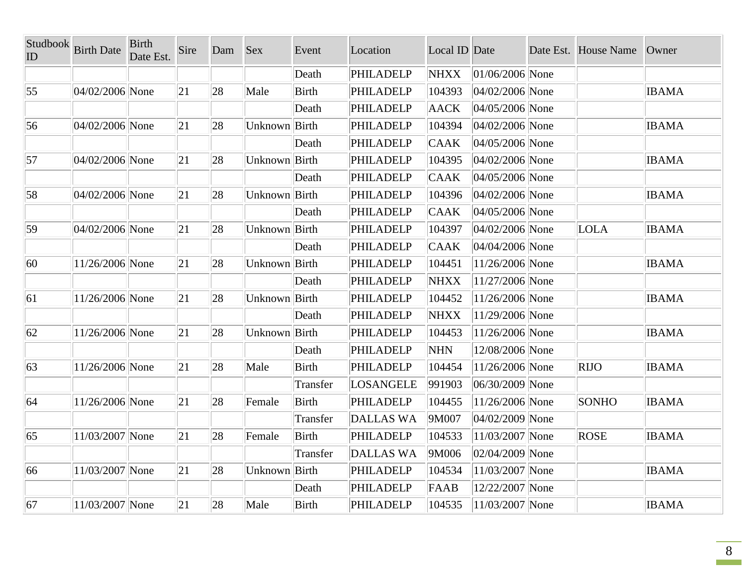| Studbook<br>ID | <b>Birth Date</b> | <b>Birth</b><br>Date Est. | Sire | Dam | <b>Sex</b>    | Event        | Location         | Local ID Date |                     | Date Est. House Name | Owner        |
|----------------|-------------------|---------------------------|------|-----|---------------|--------------|------------------|---------------|---------------------|----------------------|--------------|
|                |                   |                           |      |     |               | Death        | <b>PHILADELP</b> | <b>NHXX</b>   | $ 01/06/2006 $ None |                      |              |
| 55             | 04/02/2006 None   |                           | 21   | 28  | Male          | <b>Birth</b> | PHILADELP        | 104393        | $ 04/02/2006 $ None |                      | <b>IBAMA</b> |
|                |                   |                           |      |     |               | Death        | PHILADELP        | <b>AACK</b>   | 04/05/2006 None     |                      |              |
| 56             | 04/02/2006 None   |                           | 21   | 28  | Unknown Birth |              | PHILADELP        | 104394        | 04/02/2006 None     |                      | <b>IBAMA</b> |
|                |                   |                           |      |     |               | Death        | PHILADELP        | <b>CAAK</b>   | $ 04/05/2006 $ None |                      |              |
| 57             | 04/02/2006 None   |                           | 21   | 28  | Unknown Birth |              | <b>PHILADELP</b> | 104395        | $ 04/02/2006 $ None |                      | <b>IBAMA</b> |
|                |                   |                           |      |     |               | Death        | PHILADELP        | <b>CAAK</b>   | 04/05/2006 None     |                      |              |
| 58             | 04/02/2006 None   |                           | 21   | 28  | Unknown Birth |              | PHILADELP        | 104396        | $ 04/02/2006 $ None |                      | <b>IBAMA</b> |
|                |                   |                           |      |     |               | Death        | PHILADELP        | <b>CAAK</b>   | 04/05/2006 None     |                      |              |
| 59             | 04/02/2006 None   |                           | 21   | 28  | Unknown Birth |              | PHILADELP        | 104397        | 04/02/2006 None     | LOLA                 | <b>IBAMA</b> |
|                |                   |                           |      |     |               | Death        | PHILADELP        | <b>CAAK</b>   | 04/04/2006 None     |                      |              |
| 60             | 11/26/2006 None   |                           | 21   | 28  | Unknown Birth |              | PHILADELP        | 104451        | 11/26/2006 None     |                      | <b>IBAMA</b> |
|                |                   |                           |      |     |               | Death        | PHILADELP        | <b>NHXX</b>   | 11/27/2006 None     |                      |              |
| 61             | 11/26/2006 None   |                           | 21   | 28  | Unknown Birth |              | PHILADELP        | 104452        | 11/26/2006 None     |                      | <b>IBAMA</b> |
|                |                   |                           |      |     |               | Death        | PHILADELP        | <b>NHXX</b>   | 11/29/2006 None     |                      |              |
| 62             | 11/26/2006 None   |                           | 21   | 28  | Unknown Birth |              | PHILADELP        | 104453        | 11/26/2006 None     |                      | <b>IBAMA</b> |
|                |                   |                           |      |     |               | Death        | <b>PHILADELP</b> | NHN           | 12/08/2006 None     |                      |              |
| 63             | 11/26/2006 None   |                           | 21   | 28  | Male          | <b>Birth</b> | <b>PHILADELP</b> | 104454        | 11/26/2006 None     | <b>RIJO</b>          | <b>IBAMA</b> |
|                |                   |                           |      |     |               | Transfer     | LOSANGELE        | 991903        | 06/30/2009 None     |                      |              |
| 64             | 11/26/2006 None   |                           | 21   | 28  | Female        | Birth        | PHILADELP        | 104455        | 11/26/2006 None     | <b>SONHO</b>         | <b>IBAMA</b> |
|                |                   |                           |      |     |               | Transfer     | <b>DALLAS WA</b> | 9M007         | 04/02/2009 None     |                      |              |
| 65             | 11/03/2007 None   |                           | 21   | 28  | Female        | <b>Birth</b> | PHILADELP        | 104533        | 11/03/2007 None     | <b>ROSE</b>          | <b>IBAMA</b> |
|                |                   |                           |      |     |               | Transfer     | <b>DALLAS WA</b> | 9M006         | $ 02/04/2009 $ None |                      |              |
| 66             | 11/03/2007 None   |                           | 21   | 28  | Unknown Birth |              | <b>PHILADELP</b> | 104534        | 11/03/2007 None     |                      | <b>IBAMA</b> |
|                |                   |                           |      |     |               | Death        | <b>PHILADELP</b> | FAAB          | 12/22/2007 None     |                      |              |
| 67             | 11/03/2007 None   |                           | 21   | 28  | Male          | <b>Birth</b> | PHILADELP        | 104535        | 11/03/2007 None     |                      | <b>IBAMA</b> |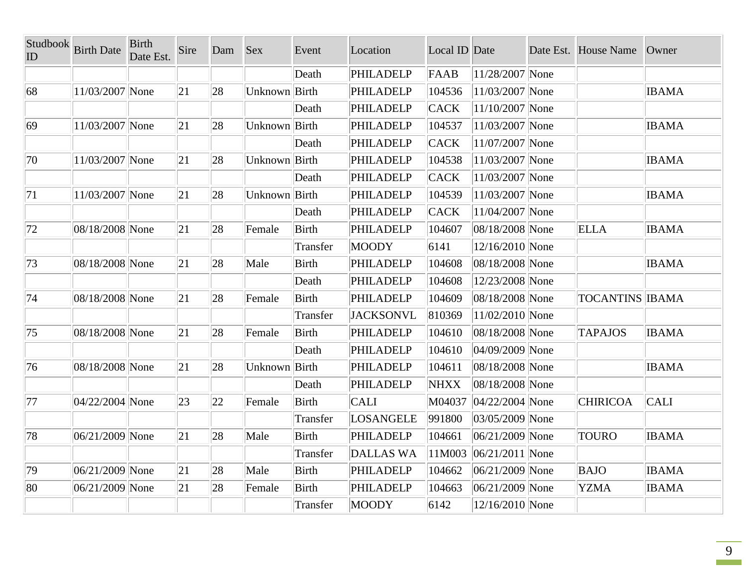| Studbook<br>ID | <b>Birth Date</b>   | <b>Birth</b><br>Date Est. | Sire | Dam | <b>Sex</b>    | Event        | Location         | Local ID Date |                     | Date Est. House Name   | Owner        |
|----------------|---------------------|---------------------------|------|-----|---------------|--------------|------------------|---------------|---------------------|------------------------|--------------|
|                |                     |                           |      |     |               | Death        | <b>PHILADELP</b> | FAAB          | 11/28/2007 None     |                        |              |
| 68             | 11/03/2007 None     |                           | 21   | 28  | Unknown Birth |              | <b>PHILADELP</b> | 104536        | 11/03/2007 None     |                        | <b>IBAMA</b> |
|                |                     |                           |      |     |               | Death        | <b>PHILADELP</b> | <b>CACK</b>   | 11/10/2007 None     |                        |              |
| 69             | 11/03/2007 None     |                           | 21   | 28  | Unknown Birth |              | <b>PHILADELP</b> | 104537        | 11/03/2007 None     |                        | <b>IBAMA</b> |
|                |                     |                           |      |     |               | Death        | <b>PHILADELP</b> | <b>CACK</b>   | 11/07/2007 None     |                        |              |
| 70             | 11/03/2007 None     |                           | 21   | 28  | Unknown Birth |              | <b>PHILADELP</b> | 104538        | 11/03/2007 None     |                        | <b>IBAMA</b> |
|                |                     |                           |      |     |               | Death        | PHILADELP        | <b>CACK</b>   | 11/03/2007 None     |                        |              |
| 71             | 11/03/2007 None     |                           | 21   | 28  | Unknown Birth |              | <b>PHILADELP</b> | 104539        | 11/03/2007 None     |                        | <b>IBAMA</b> |
|                |                     |                           |      |     |               | Death        | <b>PHILADELP</b> | <b>CACK</b>   | 11/04/2007 None     |                        |              |
| 72             | 08/18/2008 None     |                           | 21   | 28  | Female        | Birth        | PHILADELP        | 104607        | 08/18/2008 None     | <b>ELLA</b>            | <b>IBAMA</b> |
|                |                     |                           |      |     |               | Transfer     | MOODY            | 6141          | 12/16/2010 None     |                        |              |
| 73             | 08/18/2008 None     |                           | 21   | 28  | Male          | <b>Birth</b> | <b>PHILADELP</b> | 104608        | 08/18/2008 None     |                        | <b>IBAMA</b> |
|                |                     |                           |      |     |               | Death        | <b>PHILADELP</b> | 104608        | 12/23/2008 None     |                        |              |
| 74             | 08/18/2008 None     |                           | 21   | 28  | Female        | Birth        | <b>PHILADELP</b> | 104609        | 08/18/2008 None     | <b>TOCANTINS IBAMA</b> |              |
|                |                     |                           |      |     |               | Transfer     | <b>JACKSONVL</b> | 810369        | 11/02/2010 None     |                        |              |
| 75             | 08/18/2008 None     |                           | 21   | 28  | Female        | Birth        | <b>PHILADELP</b> | 104610        | 08/18/2008 None     | <b>TAPAJOS</b>         | <b>IBAMA</b> |
|                |                     |                           |      |     |               | Death        | PHILADELP        | 104610        | 04/09/2009 None     |                        |              |
| 76             | 08/18/2008 None     |                           | 21   | 28  | Unknown Birth |              | <b>PHILADELP</b> | 104611        | 08/18/2008 None     |                        | <b>IBAMA</b> |
|                |                     |                           |      |     |               | Death        | <b>PHILADELP</b> | <b>NHXX</b>   | 08/18/2008 None     |                        |              |
| 77             | $ 04/22/2004 $ None |                           | 23   | 22  | Female        | <b>Birth</b> | <b>CALI</b>      | M04037        | $ 04/22/2004 $ None | <b>CHIRICOA</b>        | <b>CALI</b>  |
|                |                     |                           |      |     |               | Transfer     | LOSANGELE        | 991800        | 03/05/2009 None     |                        |              |
| 78             | 06/21/2009 None     |                           | 21   | 28  | Male          | Birth        | <b>PHILADELP</b> | 104661        | 06/21/2009 None     | <b>TOURO</b>           | <b>IBAMA</b> |
|                |                     |                           |      |     |               | Transfer     | <b>DALLAS WA</b> | 11M003        | $ 06/21/2011 $ None |                        |              |
| 79             | $ 06/21/2009 $ None |                           | 21   | 28  | Male          | Birth        | <b>PHILADELP</b> | 104662        | 06/21/2009 None     | <b>BAJO</b>            | <b>IBAMA</b> |
| 80             | 06/21/2009 None     |                           | 21   | 28  | Female        | <b>Birth</b> | <b>PHILADELP</b> | 104663        | 06/21/2009 None     | <b>YZMA</b>            | <b>IBAMA</b> |
|                |                     |                           |      |     |               | Transfer     | <b>MOODY</b>     | 6142          | 12/16/2010 None     |                        |              |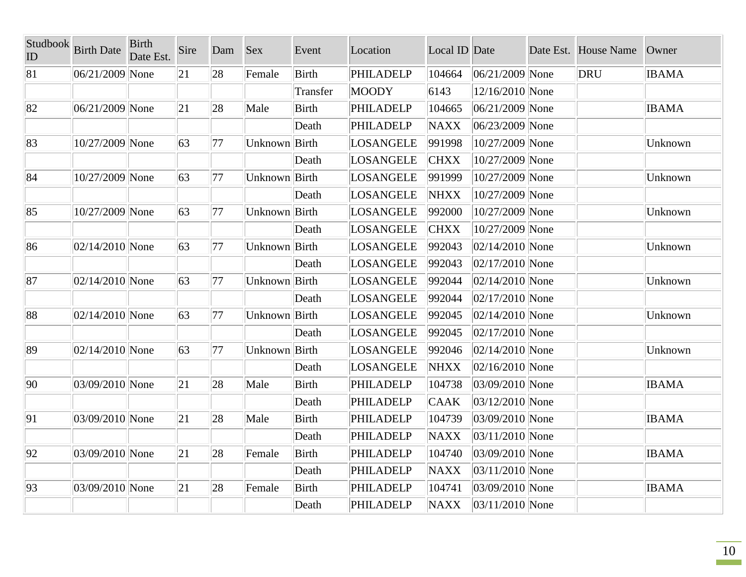| Studbook<br>ID | <b>Birth Date</b>   | <b>Birth</b><br>Date Est. | Sire | Dam | <b>Sex</b>    | Event        | Location         | Local ID Date |                     | Date Est. House Name | Owner        |
|----------------|---------------------|---------------------------|------|-----|---------------|--------------|------------------|---------------|---------------------|----------------------|--------------|
| 81             | 06/21/2009 None     |                           | 21   | 28  | Female        | Birth        | <b>PHILADELP</b> | 104664        | $ 06/21/2009 $ None | DRU                  | <b>IBAMA</b> |
|                |                     |                           |      |     |               | Transfer     | <b>MOODY</b>     | 6143          | 12/16/2010 None     |                      |              |
| 82             | 06/21/2009 None     |                           | 21   | 28  | Male          | <b>Birth</b> | <b>PHILADELP</b> | 104665        | $ 06/21/2009 $ None |                      | <b>IBAMA</b> |
|                |                     |                           |      |     |               | Death        | <b>PHILADELP</b> | <b>NAXX</b>   | 06/23/2009 None     |                      |              |
| 83             | 10/27/2009 None     |                           | 63   | 77  | Unknown Birth |              | LOSANGELE        | 991998        | 10/27/2009 None     |                      | Unknown      |
|                |                     |                           |      |     |               | Death        | LOSANGELE        | <b>CHXX</b>   | 10/27/2009 None     |                      |              |
| 84             | 10/27/2009 None     |                           | 63   | 77  | Unknown Birth |              | <b>LOSANGELE</b> | 991999        | 10/27/2009 None     |                      | Unknown      |
|                |                     |                           |      |     |               | Death        | LOSANGELE        | <b>NHXX</b>   | 10/27/2009 None     |                      |              |
| 85             | 10/27/2009 None     |                           | 63   | 77  | Unknown Birth |              | LOSANGELE        | 992000        | 10/27/2009 None     |                      | Unknown      |
|                |                     |                           |      |     |               | Death        | <b>LOSANGELE</b> | <b>CHXX</b>   | 10/27/2009 None     |                      |              |
| 86             | 02/14/2010 None     |                           | 63   | 77  | Unknown Birth |              | LOSANGELE        | 992043        | $ 02/14/2010 $ None |                      | Unknown      |
|                |                     |                           |      |     |               | Death        | LOSANGELE        | 992043        | $ 02/17/2010 $ None |                      |              |
| 87             | $02/14/2010$ None   |                           | 63   | 77  | Unknown Birth |              | <b>LOSANGELE</b> | 992044        | $ 02/14/2010 $ None |                      | Unknown      |
|                |                     |                           |      |     |               | Death        | LOSANGELE        | 992044        | $ 02/17/2010 $ None |                      |              |
| 88             | $ 02/14/2010 $ None |                           | 63   | 77  | Unknown Birth |              | LOSANGELE        | 992045        | $ 02/14/2010 $ None |                      | Unknown      |
|                |                     |                           |      |     |               | Death        | LOSANGELE        | 992045        | $ 02/17/2010 $ None |                      |              |
| 89             | $ 02/14/2010 $ None |                           | 63   | 77  | Unknown Birth |              | LOSANGELE        | 992046        | $ 02/14/2010 $ None |                      | Unknown      |
|                |                     |                           |      |     |               | Death        | LOSANGELE        | <b>NHXX</b>   | $ 02/16/2010 $ None |                      |              |
| 90             | 03/09/2010 None     |                           | 21   | 28  | Male          | <b>Birth</b> | <b>PHILADELP</b> | 104738        | 03/09/2010 None     |                      | <b>IBAMA</b> |
|                |                     |                           |      |     |               | Death        | <b>PHILADELP</b> | <b>CAAK</b>   | 03/12/2010 None     |                      |              |
| 91             | 03/09/2010 None     |                           | 21   | 28  | Male          | <b>Birth</b> | <b>PHILADELP</b> | 104739        | 03/09/2010 None     |                      | <b>IBAMA</b> |
|                |                     |                           |      |     |               | Death        | <b>PHILADELP</b> | <b>NAXX</b>   | $ 03/11/2010 $ None |                      |              |
| 92             | 03/09/2010 None     |                           | 21   | 28  | Female        | <b>Birth</b> | <b>PHILADELP</b> | 104740        | 03/09/2010 None     |                      | <b>IBAMA</b> |
|                |                     |                           |      |     |               | Death        | <b>PHILADELP</b> | <b>NAXX</b>   | $ 03/11/2010 $ None |                      |              |
| 93             | 03/09/2010 None     |                           | 21   | 28  | Female        | Birth        | <b>PHILADELP</b> | 104741        | 03/09/2010 None     |                      | <b>IBAMA</b> |
|                |                     |                           |      |     |               | Death        | <b>PHILADELP</b> | <b>NAXX</b>   | $ 03/11/2010 $ None |                      |              |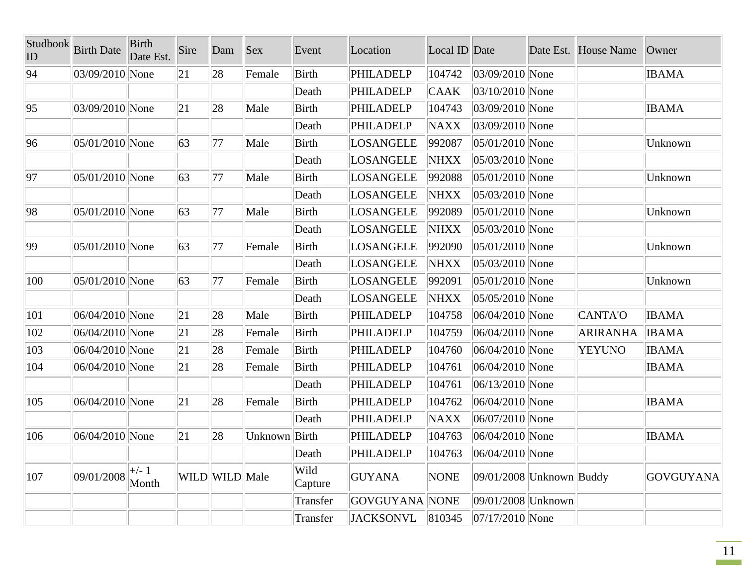| Studbook<br>ID | <b>Birth Date</b> | <b>Birth</b><br>Date Est. | Sire | Dam            | Sex           | Event           | Location         | Local ID Date    |                              | Date Est. House Name | Owner        |
|----------------|-------------------|---------------------------|------|----------------|---------------|-----------------|------------------|------------------|------------------------------|----------------------|--------------|
| 94             | 03/09/2010 None   |                           | 21   | 28             | Female        | <b>Birth</b>    | <b>PHILADELP</b> | 104742           | 03/09/2010 None              |                      | <b>IBAMA</b> |
|                |                   |                           |      |                |               | Death           | <b>PHILADELP</b> | <b>CAAK</b>      | 03/10/2010 None              |                      |              |
| 95             | 03/09/2010 None   |                           | 21   | 28             | Male          | <b>Birth</b>    | <b>PHILADELP</b> | 104743           | 03/09/2010 None              |                      | <b>IBAMA</b> |
|                |                   |                           |      |                |               | Death           | <b>PHILADELP</b> | <b>NAXX</b>      | 03/09/2010 None              |                      |              |
| 96             | 05/01/2010 None   |                           | 63   | 77             | Male          | <b>Birth</b>    | <b>LOSANGELE</b> | 992087           | 05/01/2010 None              |                      | Unknown      |
|                |                   |                           |      |                |               | Death           | <b>LOSANGELE</b> | <b>NHXX</b>      | 05/03/2010 None              |                      |              |
| 97             | 05/01/2010 None   |                           | 63   | 77             | Male          | <b>Birth</b>    | <b>LOSANGELE</b> | 992088           | 05/01/2010 None              |                      | Unknown      |
|                |                   |                           |      |                |               | Death           | <b>LOSANGELE</b> | <b>NHXX</b>      | 05/03/2010 None              |                      |              |
| 98             | 05/01/2010 None   |                           | 63   | 77             | Male          | <b>Birth</b>    | <b>LOSANGELE</b> | 992089           | 05/01/2010 None              |                      | Unknown      |
|                |                   |                           |      |                |               | Death           | <b>LOSANGELE</b> | <b>NHXX</b>      | 05/03/2010 None              |                      |              |
| 99             | 05/01/2010 None   |                           | 63   | 77             | Female        | <b>Birth</b>    | <b>LOSANGELE</b> | 992090           | 05/01/2010 None              |                      | Unknown      |
|                |                   |                           |      |                |               | Death           | <b>LOSANGELE</b> | <b>NHXX</b>      | 05/03/2010 None              |                      |              |
| 100            | 05/01/2010 None   |                           | 63   | 77             | Female        | <b>Birth</b>    | <b>LOSANGELE</b> | 992091           | 05/01/2010 None              |                      | Unknown      |
|                |                   |                           |      |                |               | Death           | <b>LOSANGELE</b> | <b>NHXX</b>      | 05/05/2010 None              |                      |              |
| 101            | 06/04/2010 None   |                           | 21   | 28             | Male          | <b>Birth</b>    | <b>PHILADELP</b> | 104758           | 06/04/2010 None              | CANTA'O              | <b>IBAMA</b> |
| 102            | 06/04/2010 None   |                           | 21   | 28             | Female        | Birth           | <b>PHILADELP</b> | 104759           | 06/04/2010 None              | ARIRANHA             | <b>IBAMA</b> |
| 103            | 06/04/2010 None   |                           | 21   | 28             | Female        | <b>Birth</b>    | <b>PHILADELP</b> | 104760           | 06/04/2010 None              | <b>YEYUNO</b>        | <b>IBAMA</b> |
| 104            | 06/04/2010 None   |                           | 21   | 28             | Female        | Birth           | <b>PHILADELP</b> | 104761           | 06/04/2010 None              |                      | <b>IBAMA</b> |
|                |                   |                           |      |                |               | Death           | <b>PHILADELP</b> | 104761           | 06/13/2010 None              |                      |              |
| 105            | 06/04/2010 None   |                           | 21   | 28             | Female        | Birth           | <b>PHILADELP</b> | 104762           | 06/04/2010 None              |                      | <b>IBAMA</b> |
|                |                   |                           |      |                |               | Death           | <b>PHILADELP</b> | <b>NAXX</b>      | 06/07/2010 None              |                      |              |
| 106            | 06/04/2010 None   |                           | 21   | 28             | Unknown Birth |                 | <b>PHILADELP</b> | 104763           | 06/04/2010 None              |                      | <b>IBAMA</b> |
|                |                   |                           |      |                |               | Death           | PHILADELP        | $ 104763\rangle$ | $ 06/04/2010 $ None          |                      |              |
| 107            | 09/01/2008        | $\mid +/- 1$<br>Month     |      | WILD WILD Male |               | Wild<br>Capture | GUYANA           | <b>NONE</b>      | $ 09/01/2008 $ Unknown Buddy |                      | GOVGUYANA    |
|                |                   |                           |      |                |               | Transfer        | GOVGUYANA NONE   |                  | 09/01/2008 Unknown           |                      |              |
|                |                   |                           |      |                |               | Transfer        | <b>JACKSONVL</b> | 810345           | $ 07/17/2010 $ None          |                      |              |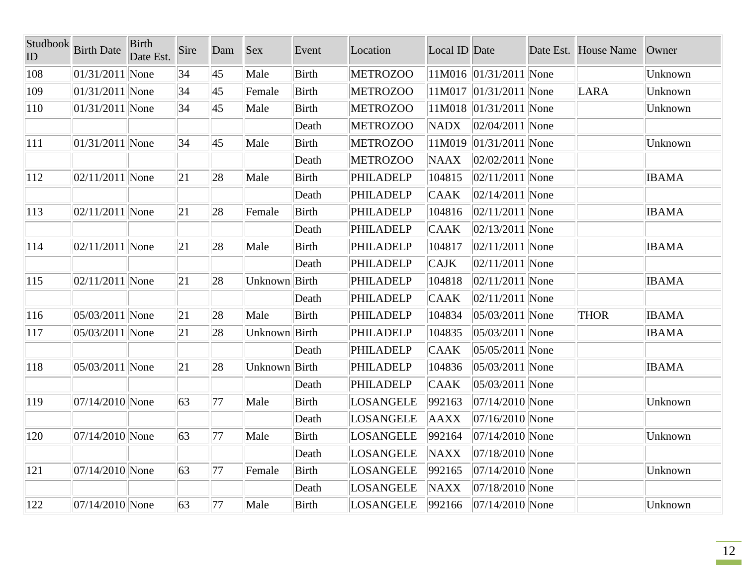| Studbook<br>ID | <b>Birth Date</b>   | <b>Birth</b><br>Date Est. | Sire | Dam          | <b>Sex</b>    | Event        | Location         | Local ID Date |                            | Date Est. House Name | Owner        |
|----------------|---------------------|---------------------------|------|--------------|---------------|--------------|------------------|---------------|----------------------------|----------------------|--------------|
| 108            | $ 01/31/2011 $ None |                           | 34   | $ 45\rangle$ | Male          | <b>Birth</b> | <b>METROZOO</b>  |               | $ 11M016 01/31/2011 $ None |                      | Unknown      |
| 109            | $ 01/31/2011 $ None |                           | 34   | 45           | Female        | <b>Birth</b> | <b>METROZOO</b>  |               | $11M017$  01/31/2011  None | LARA                 | Unknown      |
| <b>110</b>     | $01/31/2011$ None   |                           | 34   | 45           | Male          | Birth        | <b>METROZOO</b>  |               | $11M018$  01/31/2011  None |                      | Unknown      |
|                |                     |                           |      |              |               | Death        | <b>METROZOO</b>  | <b>NADX</b>   | $ 02/04/2011 $ None        |                      |              |
| 111            | $ 01/31/2011 $ None |                           | 34   | 45           | Male          | <b>Birth</b> | <b>METROZOO</b>  | 11M019        | $ 01/31/2011 $ None        |                      | Unknown      |
|                |                     |                           |      |              |               | Death        | <b>METROZOO</b>  | <b>NAAX</b>   | $ 02/02/2011 $ None        |                      |              |
| <sup>112</sup> | $ 02/11/2011 $ None |                           | 21   | 28           | Male          | Birth        | PHILADELP        | 104815        | $ 02/11/2011 $ None        |                      | <b>IBAMA</b> |
|                |                     |                           |      |              |               | Death        | PHILADELP        | <b>CAAK</b>   | $ 02/14/2011 $ None        |                      |              |
| 113            | $ 02/11/2011 $ None |                           | 21   | 28           | Female        | Birth        | PHILADELP        | 104816        | $ 02/11/2011 $ None        |                      | <b>IBAMA</b> |
|                |                     |                           |      |              |               | Death        | PHILADELP        | <b>CAAK</b>   | $ 02/13/2011 $ None        |                      |              |
| 114            | $ 02/11/2011 $ None |                           | 21   | 28           | Male          | <b>Birth</b> | PHILADELP        | 104817        | $ 02/11/2011 $ None        |                      | <b>IBAMA</b> |
|                |                     |                           |      |              |               | Death        | <b>PHILADELP</b> | <b>CAJK</b>   | $ 02/11/2011 $ None        |                      |              |
| 115            | $ 02/11/2011 $ None |                           | 21   | 28           | Unknown Birth |              | PHILADELP        | 104818        | $ 02/11/2011 $ None        |                      | <b>IBAMA</b> |
|                |                     |                           |      |              |               | Death        | PHILADELP        | <b>CAAK</b>   | $ 02/11/2011 $ None        |                      |              |
| 116            | $ 05/03/2011 $ None |                           | 21   | 28           | Male          | <b>Birth</b> | PHILADELP        | 104834        | 05/03/2011 None            | <b>THOR</b>          | <b>IBAMA</b> |
| 117            | 05/03/2011 None     |                           | 21   | 28           | Unknown Birth |              | <b>PHILADELP</b> | 104835        | $ 05/03/2011 $ None        |                      | <b>IBAMA</b> |
|                |                     |                           |      |              |               | Death        | <b>PHILADELP</b> | <b>CAAK</b>   | $ 05/05/2011 $ None        |                      |              |
| 118            | $ 05/03/2011 $ None |                           | 21   | 28           | Unknown Birth |              | <b>PHILADELP</b> | 104836        | $ 05/03/2011 $ None        |                      | <b>IBAMA</b> |
|                |                     |                           |      |              |               | Death        | <b>PHILADELP</b> | <b>CAAK</b>   | 05/03/2011 None            |                      |              |
| 119            | $ 07/14/2010 $ None |                           | 63   | 77           | Male          | Birth        | LOSANGELE        | 992163        | $ 07/14/2010 $ None        |                      | Unknown      |
|                |                     |                           |      |              |               | Death        | LOSANGELE        | <b>AAXX</b>   | $ 07/16/2010 $ None        |                      |              |
| 120            | 07/14/2010 None     |                           | 63   | 77           | Male          | Birth        | LOSANGELE        | 992164        | $ 07/14/2010 $ None        |                      | Unknown      |
|                |                     |                           |      |              |               | Death        | LOSANGELE        | <b>NAXX</b>   | 07/18/2010 None            |                      |              |
| 121            | $ 07/14/2010 $ None |                           | 63   | 77           | Female        | <b>Birth</b> | LOSANGELE        | 992165        | $ 07/14/2010 $ None        |                      | Unknown      |
|                |                     |                           |      |              |               | Death        | LOSANGELE        | <b>NAXX</b>   | $ 07/18/2010 $ None        |                      |              |
| 122            | $ 07/14/2010 $ None |                           | 63   | 77           | Male          | <b>Birth</b> | LOSANGELE        | 992166        | $ 07/14/2010 $ None        |                      | Unknown      |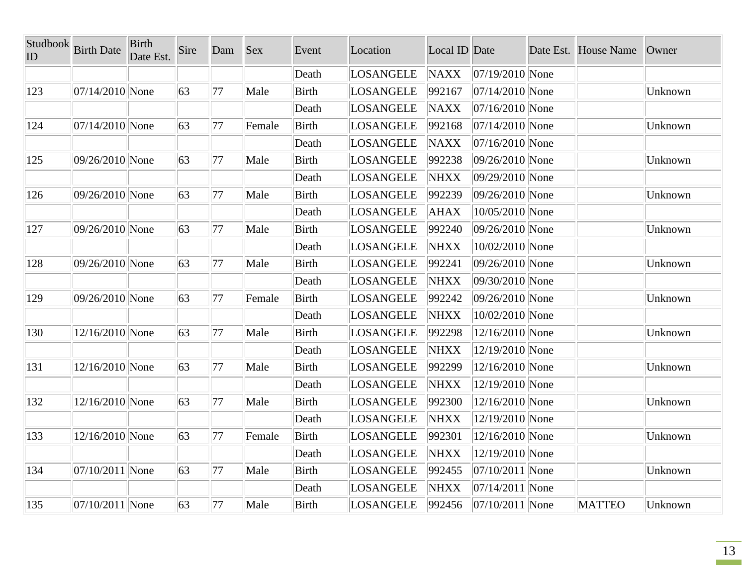| Studbook<br>ID | <b>Birth Date</b>   | <b>Birth</b><br>Date Est. | Sire | Dam | Sex    | Event        | Location         | Local ID Date |                     | Date Est. House Name | Owner   |
|----------------|---------------------|---------------------------|------|-----|--------|--------------|------------------|---------------|---------------------|----------------------|---------|
|                |                     |                           |      |     |        | Death        | <b>LOSANGELE</b> | <b>NAXX</b>   | $ 07/19/2010 $ None |                      |         |
| 123            | 07/14/2010 None     |                           | 63   | 77  | Male   | <b>Birth</b> | <b>LOSANGELE</b> | 992167        | $ 07/14/2010 $ None |                      | Unknown |
|                |                     |                           |      |     |        | Death        | <b>LOSANGELE</b> | <b>NAXX</b>   | 07/16/2010 None     |                      |         |
| 124            | 07/14/2010 None     |                           | 63   | 77  | Female | <b>Birth</b> | <b>LOSANGELE</b> | 992168        | $ 07/14/2010 $ None |                      | Unknown |
|                |                     |                           |      |     |        | Death        | LOSANGELE        | <b>NAXX</b>   | $ 07/16/2010 $ None |                      |         |
| 125            | 09/26/2010 None     |                           | 63   | 77  | Male   | <b>Birth</b> | <b>LOSANGELE</b> | 992238        | 09/26/2010 None     |                      | Unknown |
|                |                     |                           |      |     |        | Death        | <b>LOSANGELE</b> | <b>NHXX</b>   | 09/29/2010 None     |                      |         |
| 126            | 09/26/2010 None     |                           | 63   | 77  | Male   | Birth        | <b>LOSANGELE</b> | 992239        | 09/26/2010 None     |                      | Unknown |
|                |                     |                           |      |     |        | Death        | <b>LOSANGELE</b> | <b>AHAX</b>   | 10/05/2010 None     |                      |         |
| 127            | 09/26/2010 None     |                           | 63   | 77  | Male   | Birth        | LOSANGELE        | 992240        | 09/26/2010 None     |                      | Unknown |
|                |                     |                           |      |     |        | Death        | LOSANGELE        | NHXX          | 10/02/2010 None     |                      |         |
| 128            | 09/26/2010 None     |                           | 63   | 77  | Male   | <b>Birth</b> | <b>LOSANGELE</b> | 992241        | 09/26/2010 None     |                      | Unknown |
|                |                     |                           |      |     |        | Death        | <b>LOSANGELE</b> | <b>NHXX</b>   | 09/30/2010 None     |                      |         |
| 129            | 09/26/2010 None     |                           | 63   | 77  | Female | <b>Birth</b> | <b>LOSANGELE</b> | 992242        | 09/26/2010 None     |                      | Unknown |
|                |                     |                           |      |     |        | Death        | <b>LOSANGELE</b> | <b>NHXX</b>   | 10/02/2010 None     |                      |         |
| 130            | 12/16/2010 None     |                           | 63   | 77  | Male   | Birth        | <b>LOSANGELE</b> | 992298        | 12/16/2010 None     |                      | Unknown |
|                |                     |                           |      |     |        | Death        | <b>LOSANGELE</b> | <b>NHXX</b>   | 12/19/2010 None     |                      |         |
| 131            | 12/16/2010 None     |                           | 63   | 77  | Male   | Birth        | <b>LOSANGELE</b> | 992299        | 12/16/2010 None     |                      | Unknown |
|                |                     |                           |      |     |        | Death        | <b>LOSANGELE</b> | <b>NHXX</b>   | 12/19/2010 None     |                      |         |
| 132            | 12/16/2010 None     |                           | 63   | 77  | Male   | <b>Birth</b> | <b>LOSANGELE</b> | 992300        | 12/16/2010 None     |                      | Unknown |
|                |                     |                           |      |     |        | Death        | <b>LOSANGELE</b> | <b>NHXX</b>   | 12/19/2010 None     |                      |         |
| 133            | 12/16/2010 None     |                           | 63   | 77  | Female | <b>Birth</b> | <b>LOSANGELE</b> | 992301        | 12/16/2010 None     |                      | Unknown |
|                |                     |                           |      |     |        | Death        | <b>LOSANGELE</b> | <b>NHXX</b>   | 12/19/2010 None     |                      |         |
| 134            | $ 07/10/2011 $ None |                           | 63   | 77  | Male   | <b>Birth</b> | <b>LOSANGELE</b> | 992455        | 07/10/2011 None     |                      | Unknown |
|                |                     |                           |      |     |        | Death        | <b>LOSANGELE</b> | <b>NHXX</b>   | $ 07/14/2011 $ None |                      |         |
| $ 135\rangle$  | 07/10/2011 None     |                           | 63   | 77  | Male   | Birth        | <b>LOSANGELE</b> | 992456        | $ 07/10/2011 $ None | <b>MATTEO</b>        | Unknown |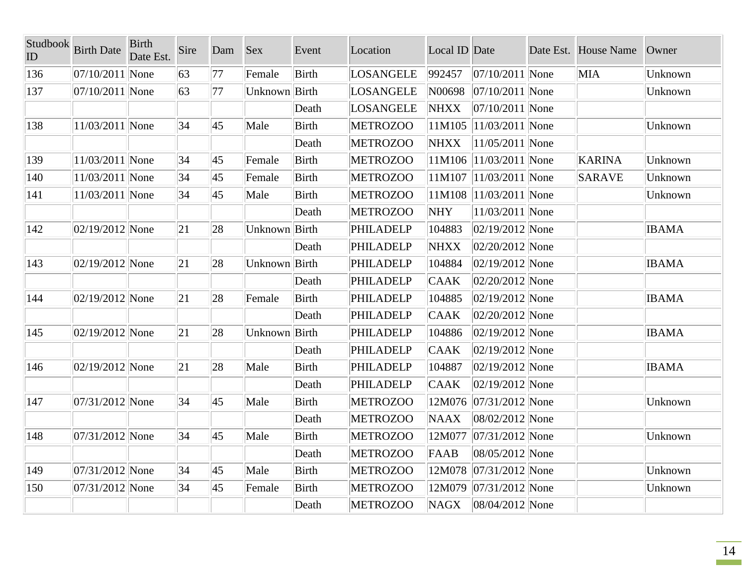| Studbook<br>ID | <b>Birth Date</b>   | <b>Birth</b><br>Date Est. | Sire | Dam          | <b>Sex</b>    | Event        | Location         | Local ID Date |                     | Date Est. House Name | Owner        |
|----------------|---------------------|---------------------------|------|--------------|---------------|--------------|------------------|---------------|---------------------|----------------------|--------------|
| 136            | $ 07/10/2011 $ None |                           | 63   | 77           | Female        | <b>Birth</b> | LOSANGELE        | 992457        | $ 07/10/2011 $ None | <b>MIA</b>           | Unknown      |
| 137            | $ 07/10/2011 $ None |                           | 63   | 77           | Unknown Birth |              | LOSANGELE        | N00698        | $ 07/10/2011 $ None |                      | Unknown      |
|                |                     |                           |      |              |               | Death        | LOSANGELE        | <b>NHXX</b>   | $ 07/10/2011 $ None |                      |              |
| 138            | 11/03/2011 None     |                           | 34   | $ 45\rangle$ | Male          | <b>Birth</b> | <b>METROZOO</b>  | 11M105        | $ 11/03/2011 $ None |                      | Unknown      |
|                |                     |                           |      |              |               | Death        | <b>METROZOO</b>  | <b>NHXX</b>   | $ 11/05/2011 $ None |                      |              |
| 139            | 11/03/2011 None     |                           | 34   | 45           | Female        | <b>Birth</b> | <b>METROZOO</b>  | 11M106        | $ 11/03/2011 $ None | <b>KARINA</b>        | Unknown      |
| 140            | 11/03/2011 None     |                           | 34   | $ 45\rangle$ | Female        | <b>Birth</b> | <b>METROZOO</b>  | 11M107        | $ 11/03/2011 $ None | SARAVE               | Unknown      |
| 141            | 11/03/2011 None     |                           | 34   | 45           | Male          | <b>Birth</b> | <b>METROZOO</b>  | 11M108        | $ 11/03/2011 $ None |                      | Unknown      |
|                |                     |                           |      |              |               | Death        | <b>METROZOO</b>  | NHY           | $ 11/03/2011 $ None |                      |              |
| $ 142\rangle$  | $ 02/19/2012 $ None |                           | 21   | 28           | Unknown Birth |              | PHILADELP        | 104883        | $ 02/19/2012 $ None |                      | <b>IBAMA</b> |
|                |                     |                           |      |              |               | Death        | PHILADELP        | <b>NHXX</b>   | $02/20/2012$ None   |                      |              |
| $ 143\rangle$  | $ 02/19/2012 $ None |                           | 21   | 28           | Unknown Birth |              | <b>PHILADELP</b> | 104884        | $ 02/19/2012 $ None |                      | <b>IBAMA</b> |
|                |                     |                           |      |              |               | Death        | PHILADELP        | <b>CAAK</b>   | $ 02/20/2012 $ None |                      |              |
| $ 144\rangle$  | $ 02/19/2012 $ None |                           | 21   | 28           | Female        | <b>Birth</b> | PHILADELP        | 104885        | $ 02/19/2012 $ None |                      | <b>IBAMA</b> |
|                |                     |                           |      |              |               | Death        | PHILADELP        | <b>CAAK</b>   | $ 02/20/2012 $ None |                      |              |
| $ 145\rangle$  | $ 02/19/2012 $ None |                           | 21   | 28           | Unknown Birth |              | PHILADELP        | 104886        | $ 02/19/2012 $ None |                      | <b>IBAMA</b> |
|                |                     |                           |      |              |               | Death        | PHILADELP        | <b>CAAK</b>   | $ 02/19/2012 $ None |                      |              |
| 146            | $ 02/19/2012 $ None |                           | 21   | 28           | Male          | <b>Birth</b> | PHILADELP        | 104887        | $ 02/19/2012 $ None |                      | <b>IBAMA</b> |
|                |                     |                           |      |              |               | Death        | PHILADELP        | <b>CAAK</b>   | $ 02/19/2012 $ None |                      |              |
| 147            | $ 07/31/2012 $ None |                           | 34   | 45           | Male          | <b>Birth</b> | <b>METROZOO</b>  | 12M076        | $ 07/31/2012 $ None |                      | Unknown      |
|                |                     |                           |      |              |               | Death        | <b>METROZOO</b>  | <b>NAAX</b>   | 08/02/2012 None     |                      |              |
| 148            | $ 07/31/2012 $ None |                           | 34   | 45           | Male          | <b>Birth</b> | <b>METROZOO</b>  | 12M077        | $ 07/31/2012 $ None |                      | Unknown      |
|                |                     |                           |      |              |               | Death        | <b>METROZOO</b>  | FAAB          | 08/05/2012 None     |                      |              |
| 149            | $ 07/31/2012 $ None |                           | 34   | $ 45\rangle$ | Male          | <b>Birth</b> | <b>METROZOO</b>  | 12M078        | $ 07/31/2012 $ None |                      | Unknown      |
| 150            | $ 07/31/2012 $ None |                           | 34   | 45           | Female        | <b>Birth</b> | <b>METROZOO</b>  | 12M079        | $ 07/31/2012 $ None |                      | Unknown      |
|                |                     |                           |      |              |               | Death        | <b>METROZOO</b>  | NAGX          | $ 08/04/2012 $ None |                      |              |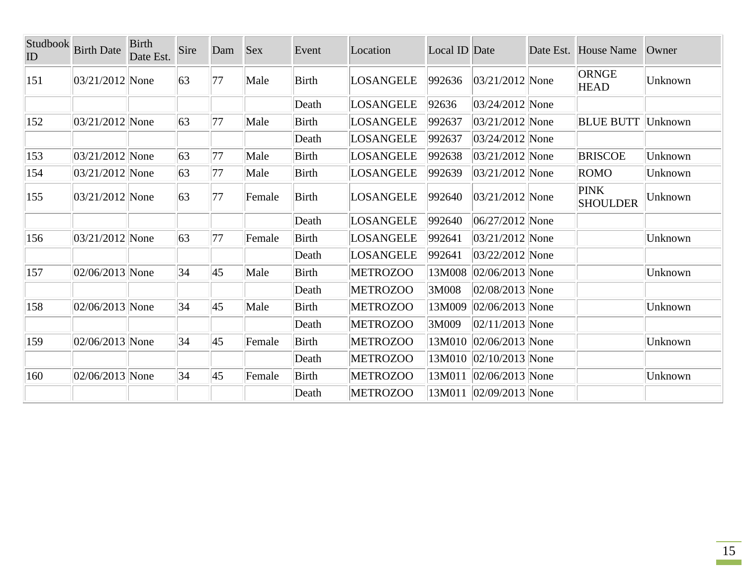| Studbook<br>ID | <b>Birth Date</b>   | <b>Birth</b><br>Date Est. | Sire | Dam | <b>Sex</b> | Event        | Location        | Local ID Date |                     | Date Est. House Name           | Owner   |
|----------------|---------------------|---------------------------|------|-----|------------|--------------|-----------------|---------------|---------------------|--------------------------------|---------|
| 151            | 03/21/2012 None     |                           | 63   | 77  | Male       | <b>Birth</b> | LOSANGELE       | 992636        | $ 03/21/2012 $ None | ORNGE<br><b>HEAD</b>           | Unknown |
|                |                     |                           |      |     |            | Death        | LOSANGELE       | 92636         | $ 03/24/2012 $ None |                                |         |
| 152            | $ 03/21/2012 $ None |                           | 63   | 77  | Male       | Birth        | LOSANGELE       | 992637        | $ 03/21/2012 $ None | <b>BLUE BUTT</b>               | Unknown |
|                |                     |                           |      |     |            | Death        | LOSANGELE       | 992637        | $ 03/24/2012 $ None |                                |         |
| $ 153\rangle$  | $ 03/21/2012 $ None |                           | 63   | 77  | Male       | Birth        | LOSANGELE       | 992638        | $ 03/21/2012 $ None | <b>BRISCOE</b>                 | Unknown |
| 154            | $ 03/21/2012 $ None |                           | 63   | 77  | Male       | <b>Birth</b> | LOSANGELE       | 992639        | $ 03/21/2012 $ None | ROMO                           | Unknown |
| $ 155\rangle$  | $ 03/21/2012 $ None |                           | 63   | 77  | Female     | <b>Birth</b> | LOSANGELE       | 992640        | $ 03/21/2012 $ None | <b>PINK</b><br><b>SHOULDER</b> | Unknown |
|                |                     |                           |      |     |            | Death        | LOSANGELE       | 992640        | $ 06/27/2012 $ None |                                |         |
| 156            | 03/21/2012 None     |                           | 63   | 77  | Female     | <b>Birth</b> | LOSANGELE       | 992641        | $ 03/21/2012 $ None |                                | Unknown |
|                |                     |                           |      |     |            | Death        | LOSANGELE       | 992641        | 03/22/2012 None     |                                |         |
| 157            | $ 02/06/2013 $ None |                           | 34   | 45  | Male       | <b>Birth</b> | <b>METROZOO</b> | 13M008        | $ 02/06/2013 $ None |                                | Unknown |
|                |                     |                           |      |     |            | Death        | <b>METROZOO</b> | 3M008         | $ 02/08/2013 $ None |                                |         |
| 158            | 02/06/2013 None     |                           | 34   | 45  | Male       | Birth        | <b>METROZOO</b> | 13M009        | $02/06/2013$ None   |                                | Unknown |
|                |                     |                           |      |     |            | Death        | <b>METROZOO</b> | 3M009         | $ 02/11/2013 $ None |                                |         |
| 159            | $ 02/06/2013 $ None |                           | 34   | 45  | Female     | <b>Birth</b> | <b>METROZOO</b> | 13M010        | $ 02/06/2013 $ None |                                | Unknown |
|                |                     |                           |      |     |            | Death        | <b>METROZOO</b> | 13M010        | $ 02/10/2013 $ None |                                |         |
| 160            | $ 02/06/2013 $ None |                           | 34   | 45  | Female     | Birth        | <b>METROZOO</b> | 13M011        | $ 02/06/2013 $ None |                                | Unknown |
|                |                     |                           |      |     |            | Death        | <b>METROZOO</b> | 13M011        | $ 02/09/2013 $ None |                                |         |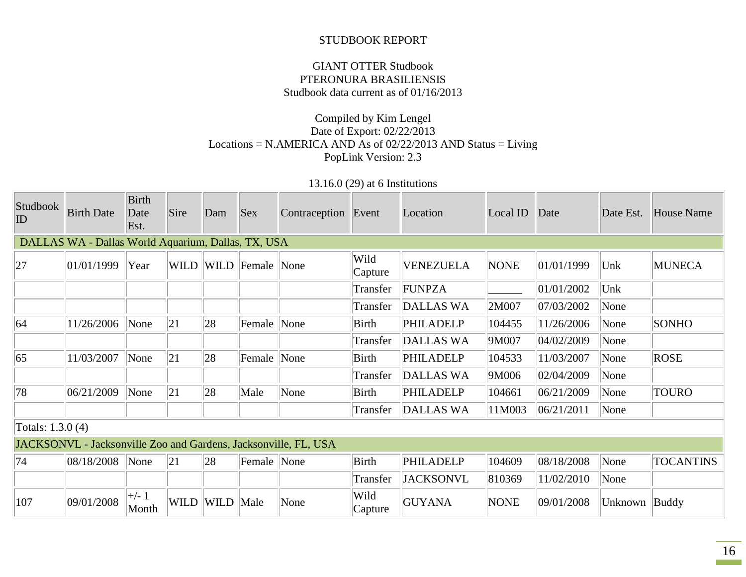#### STUDBOOK REPORT

## GIANT OTTER Studbook PTERONURA BRASILIENSIS Studbook data current as of 01/16/2013

## Compiled by Kim Lengel Date of Export: 02/22/2013 Locations = N.AMERICA AND As of  $02/22/2013$  AND Status = Living PopLink Version: 2.3

## 13.16.0 (29) at 6 Institutions

| <b>Studbook</b><br>ID | <b>Birth Date</b>                                               | <b>Birth</b><br>Date<br>Est. | Sire        | Dam       | <b>Sex</b>       | Contraception Event |                 | Location         | Local ID    | Date       | Date Est. | <b>House Name</b> |
|-----------------------|-----------------------------------------------------------------|------------------------------|-------------|-----------|------------------|---------------------|-----------------|------------------|-------------|------------|-----------|-------------------|
|                       | DALLAS WA - Dallas World Aquarium, Dallas, TX, USA              |                              |             |           |                  |                     |                 |                  |             |            |           |                   |
| 27                    | 01/01/1999                                                      | Year                         | <b>WILD</b> |           | WILD Female None |                     | Wild<br>Capture | <b>VENEZUELA</b> | <b>NONE</b> | 01/01/1999 | Unk       | <b>MUNECA</b>     |
|                       |                                                                 |                              |             |           |                  |                     | Transfer        | <b>FUNPZA</b>    |             | 01/01/2002 | Unk       |                   |
|                       |                                                                 |                              |             |           |                  |                     | Transfer        | DALLAS WA        | 2M007       | 07/03/2002 | None      |                   |
| 64                    | 11/26/2006                                                      | None                         | 21          | 28        | Female None      |                     | Birth           | PHILADELP        | 104455      | 11/26/2006 | None      | <b>SONHO</b>      |
|                       |                                                                 |                              |             |           |                  |                     | Transfer        | DALLAS WA        | 9M007       | 04/02/2009 | None      |                   |
| 65                    | 11/03/2007                                                      | None                         | 21          | 28        | Female None      |                     | Birth           | PHILADELP        | 104533      | 11/03/2007 | None      | <b>ROSE</b>       |
|                       |                                                                 |                              |             |           |                  |                     | Transfer        | DALLAS WA        | 9M006       | 02/04/2009 | None      |                   |
| 78                    | 06/21/2009                                                      | None                         | 21          | 28        | Male             | None                | <b>Birth</b>    | PHILADELP        | 104661      | 06/21/2009 | None      | <b>TOURO</b>      |
|                       |                                                                 |                              |             |           |                  |                     | Transfer        | DALLAS WA        | 11M003      | 06/21/2011 | None      |                   |
| Totals: 1.3.0 (4)     |                                                                 |                              |             |           |                  |                     |                 |                  |             |            |           |                   |
|                       | JACKSONVL - Jacksonville Zoo and Gardens, Jacksonville, FL, USA |                              |             |           |                  |                     |                 |                  |             |            |           |                   |
| 74                    | 08/18/2008                                                      | None                         | 21          | 28        | Female None      |                     | <b>Birth</b>    | PHILADELP        | 104609      | 08/18/2008 | None      | <b>TOCANTINS</b>  |
|                       |                                                                 |                              |             |           |                  |                     | Transfer        | <b>JACKSONVL</b> | 810369      | 11/02/2010 | None      |                   |
| 107                   | 09/01/2008                                                      | $\pm/- 1$<br>Month           | <b>WILD</b> | WILD Male |                  | None                | Wild<br>Capture | <b>GUYANA</b>    | <b>NONE</b> | 09/01/2008 | Unknown   | Buddy             |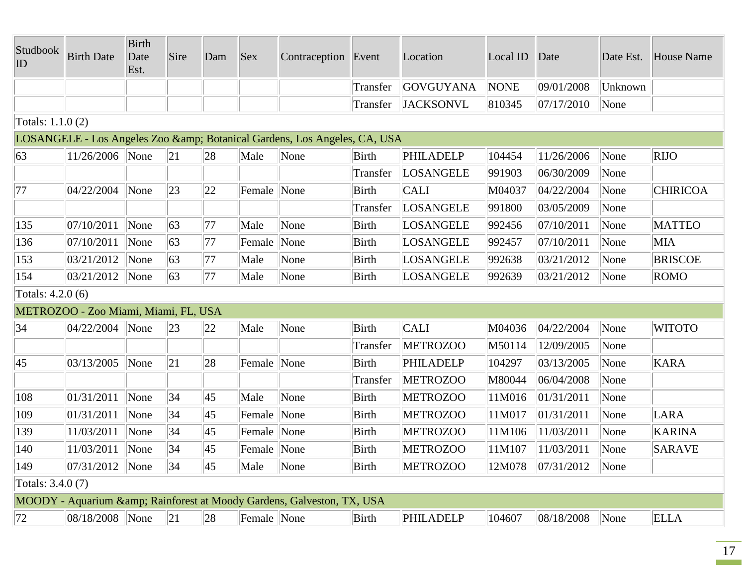| Studbook<br>ID    | <b>Birth Date</b>                    | <b>Birth</b><br>Date<br>Est. | Sire | Dam          | <b>Sex</b>  | Contraception Event                                                   |              | Location         | Local ID | Date       | Date Est. | <b>House Name</b> |
|-------------------|--------------------------------------|------------------------------|------|--------------|-------------|-----------------------------------------------------------------------|--------------|------------------|----------|------------|-----------|-------------------|
|                   |                                      |                              |      |              |             |                                                                       | Transfer     | GOVGUYANA        | NONE     | 09/01/2008 | Unknown   |                   |
|                   |                                      |                              |      |              |             |                                                                       | Transfer     | <b>JACKSONVL</b> | 810345   | 07/17/2010 | None      |                   |
| Totals: 1.1.0 (2) |                                      |                              |      |              |             |                                                                       |              |                  |          |            |           |                   |
|                   |                                      |                              |      |              |             | LOSANGELE - Los Angeles Zoo & Botanical Gardens, Los Angeles, CA, USA |              |                  |          |            |           |                   |
| 63                | 11/26/2006 None                      |                              | 21   | 28           | Male        | None                                                                  | <b>Birth</b> | PHILADELP        | 104454   | 11/26/2006 | None      | RIJO              |
|                   |                                      |                              |      |              |             |                                                                       | Transfer     | LOSANGELE        | 991903   | 06/30/2009 | None      |                   |
| 77                | 04/22/2004                           | None                         | 23   | 22           | Female None |                                                                       | <b>Birth</b> | <b>CALI</b>      | M04037   | 04/22/2004 | None      | <b>CHIRICOA</b>   |
|                   |                                      |                              |      |              |             |                                                                       | Transfer     | LOSANGELE        | 991800   | 03/05/2009 | None      |                   |
| 135               | 07/10/2011                           | None                         | 63   | 77           | Male        | None                                                                  | Birth        | LOSANGELE        | 992456   | 07/10/2011 | None      | <b>MATTEO</b>     |
| 136               | 07/10/2011                           | None                         | 63   | 77           | Female None |                                                                       | Birth        | LOSANGELE        | 992457   | 07/10/2011 | None      | <b>MIA</b>        |
| 153               | 03/21/2012                           | None                         | 63   | 77           | Male        | None                                                                  | Birth        | LOSANGELE        | 992638   | 03/21/2012 | None      | <b>BRISCOE</b>    |
| 154               | 03/21/2012                           | None                         | 63   | 77           | Male        | None                                                                  | Birth        | LOSANGELE        | 992639   | 03/21/2012 | None      | ROMO              |
| Totals: 4.2.0 (6) |                                      |                              |      |              |             |                                                                       |              |                  |          |            |           |                   |
|                   | METROZOO - Zoo Miami, Miami, FL, USA |                              |      |              |             |                                                                       |              |                  |          |            |           |                   |
| 34                | 04/22/2004                           | None                         | 23   | 22           | Male        | None                                                                  | <b>Birth</b> | <b>CALI</b>      | M04036   | 04/22/2004 | None      | <b>WITOTO</b>     |
|                   |                                      |                              |      |              |             |                                                                       | Transfer     | <b>METROZOO</b>  | M50114   | 12/09/2005 | None      |                   |
| 45                | 03/13/2005                           | None                         | 21   | 28           | Female None |                                                                       | <b>Birth</b> | PHILADELP        | 104297   | 03/13/2005 | None      | <b>KARA</b>       |
|                   |                                      |                              |      |              |             |                                                                       | Transfer     | <b>METROZOO</b>  | M80044   | 06/04/2008 | None      |                   |
| 108               | 01/31/2011                           | None                         | 34   | $ 45\rangle$ | Male        | None                                                                  | <b>Birth</b> | <b>METROZOO</b>  | 11M016   | 01/31/2011 | None      |                   |
| 109               | 01/31/2011                           | None                         | 34   | $ 45\rangle$ | Female None |                                                                       | <b>Birth</b> | <b>METROZOO</b>  | 11M017   | 01/31/2011 | None      | LARA              |
| 139               | 11/03/2011                           | None                         | 34   | $ 45\rangle$ | Female None |                                                                       | <b>Birth</b> | <b>METROZOO</b>  | 11M106   | 11/03/2011 | None      | <b>KARINA</b>     |
| 140               | 11/03/2011                           | None                         | 34   | 45           | Female None |                                                                       | <b>Birth</b> | <b>METROZOO</b>  | 11M107   | 11/03/2011 | None      | <b>SARAVE</b>     |
| 149               | $ 07/31/2012 $ None                  |                              | 34   | 45           | Male        | None                                                                  | <b>Birth</b> | <b>METROZOO</b>  | 12M078   | 07/31/2012 | None      |                   |
| Totals: 3.4.0 (7) |                                      |                              |      |              |             |                                                                       |              |                  |          |            |           |                   |
|                   |                                      |                              |      |              |             | MOODY - Aquarium & Rainforest at Moody Gardens, Galveston, TX, USA    |              |                  |          |            |           |                   |
| 72                | 08/18/2008 None                      |                              | 21   | 28           | Female None |                                                                       | Birth        | PHILADELP        | 104607   | 08/18/2008 | None      | <b>ELLA</b>       |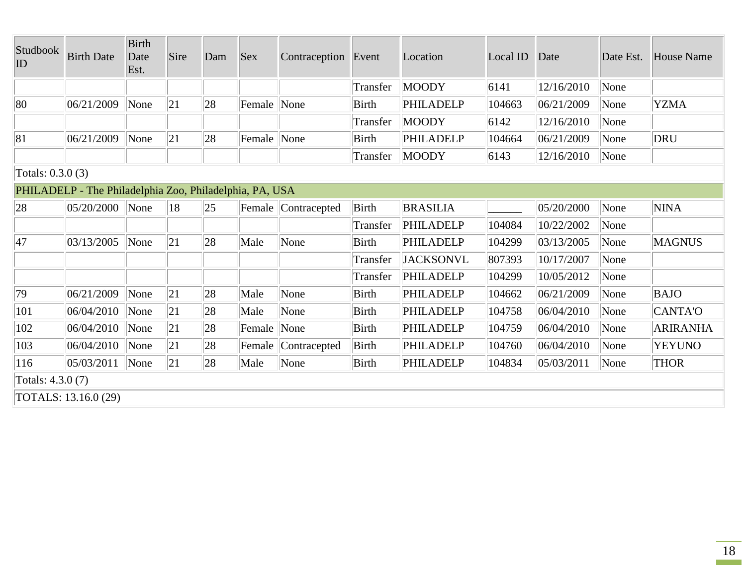| Studbook<br>ID    | <b>Birth Date</b>                                       | <b>Birth</b><br>Date<br>Est. | Sire | Dam | <b>Sex</b>  | Contraception Event       |              | Location         | Local ID | Date       | Date Est. | <b>House Name</b> |
|-------------------|---------------------------------------------------------|------------------------------|------|-----|-------------|---------------------------|--------------|------------------|----------|------------|-----------|-------------------|
|                   |                                                         |                              |      |     |             |                           | Transfer     | MOODY            | 6141     | 12/16/2010 | None      |                   |
| 80                | 06/21/2009                                              | None                         | 21   | 28  | Female None |                           | <b>Birth</b> | PHILADELP        | 104663   | 06/21/2009 | None      | <b>YZMA</b>       |
|                   |                                                         |                              |      |     |             |                           | Transfer     | <b>MOODY</b>     | 6142     | 12/16/2010 | None      |                   |
| 81                | 06/21/2009                                              | None                         | 21   | 28  | Female None |                           | <b>Birth</b> | PHILADELP        | 104664   | 06/21/2009 | None      | DRU               |
|                   |                                                         |                              |      |     |             |                           | Transfer     | <b>MOODY</b>     | 6143     | 12/16/2010 | None      |                   |
| Totals: 0.3.0 (3) |                                                         |                              |      |     |             |                           |              |                  |          |            |           |                   |
|                   | PHILADELP - The Philadelphia Zoo, Philadelphia, PA, USA |                              |      |     |             |                           |              |                  |          |            |           |                   |
| 28                | 05/20/2000                                              | None                         | 18   | 25  |             | Female Contracepted       | <b>Birth</b> | <b>BRASILIA</b>  |          | 05/20/2000 | None      | <b>NINA</b>       |
|                   |                                                         |                              |      |     |             |                           | Transfer     | PHILADELP        | 104084   | 10/22/2002 | None      |                   |
| 47                | 03/13/2005                                              | None                         | 21   | 28  | Male        | None                      | <b>Birth</b> | <b>PHILADELP</b> | 104299   | 03/13/2005 | None      | <b>MAGNUS</b>     |
|                   |                                                         |                              |      |     |             |                           | Transfer     | <b>JACKSONVL</b> | 807393   | 10/17/2007 | None      |                   |
|                   |                                                         |                              |      |     |             |                           | Transfer     | PHILADELP        | 104299   | 10/05/2012 | None      |                   |
| 79                | 06/21/2009                                              | None                         | 21   | 28  | Male        | None                      | Birth        | PHILADELP        | 104662   | 06/21/2009 | None      | <b>BAJO</b>       |
| 101               | 06/04/2010                                              | None                         | 21   | 28  | Male        | None                      | <b>Birth</b> | PHILADELP        | 104758   | 06/04/2010 | None      | CANTA'O           |
| 102               | 06/04/2010                                              | None                         | 21   | 28  | Female      | $\sqrt{\frac{1}{2}}$ None | Birth        | PHILADELP        | 104759   | 06/04/2010 | None      | <b>ARIRANHA</b>   |
| 103               | 06/04/2010                                              | None                         | 21   | 28  | Female      | Contracepted              | <b>Birth</b> | <b>PHILADELP</b> | 104760   | 06/04/2010 | None      | <b>YEYUNO</b>     |
| 116               | 05/03/2011                                              | None                         | 21   | 28  | Male        | None                      | Birth        | PHILADELP        | 104834   | 05/03/2011 | None      | <b>THOR</b>       |
| Totals: 4.3.0 (7) |                                                         |                              |      |     |             |                           |              |                  |          |            |           |                   |
|                   | TOTALS: 13.16.0 (29)                                    |                              |      |     |             |                           |              |                  |          |            |           |                   |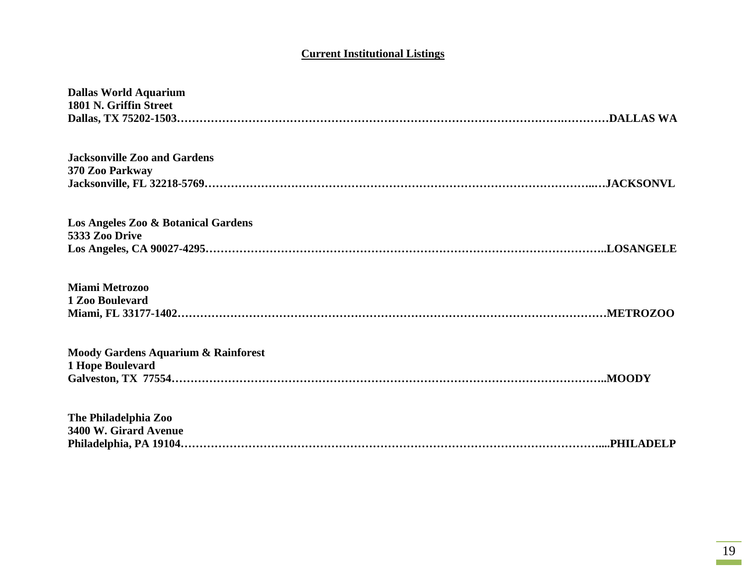# **Current Institutional Listings**

| <b>Dallas World Aquarium</b><br>1801 N. Griffin Street             |
|--------------------------------------------------------------------|
| <b>Jacksonville Zoo and Gardens</b><br>370 Zoo Parkway             |
| Los Angeles Zoo & Botanical Gardens<br>5333 Zoo Drive              |
| <b>Miami Metrozoo</b><br>1 Zoo Boulevard                           |
| <b>Moody Gardens Aquarium &amp; Rainforest</b><br>1 Hope Boulevard |
| The Philadelphia Zoo<br>3400 W. Girard Avenue                      |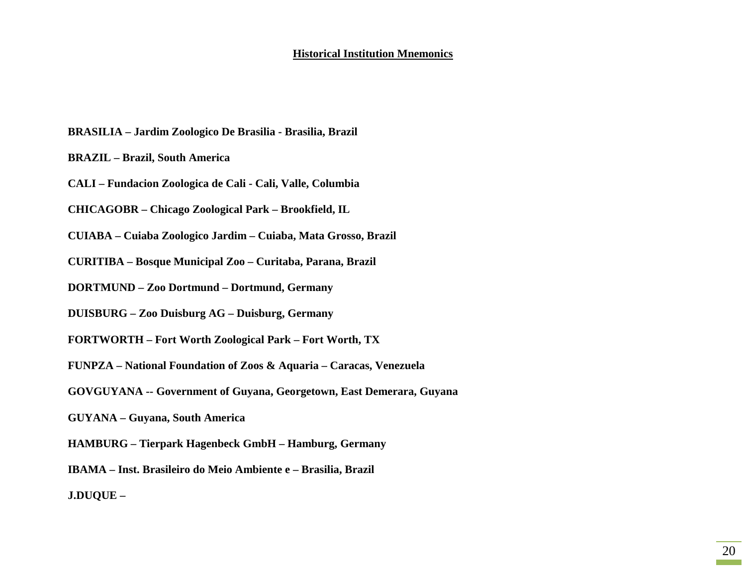#### **Historical Institution Mnemonics**

- **BRASILIA – Jardim Zoologico De Brasilia - Brasilia, Brazil**
- **BRAZIL – Brazil, South America**
- **CALI – Fundacion Zoologica de Cali - Cali, Valle, Columbia**
- **CHICAGOBR – Chicago Zoological Park – Brookfield, IL**
- **CUIABA – Cuiaba Zoologico Jardim – Cuiaba, Mata Grosso, Brazil**
- **CURITIBA – Bosque Municipal Zoo – Curitaba, Parana, Brazil**
- **DORTMUND – Zoo Dortmund – Dortmund, Germany**
- **DUISBURG – Zoo Duisburg AG – Duisburg, Germany**
- **FORTWORTH – Fort Worth Zoological Park – Fort Worth, TX**
- **FUNPZA – National Foundation of Zoos & Aquaria – Caracas, Venezuela**
- **GOVGUYANA -- Government of Guyana, Georgetown, East Demerara, Guyana**
- **GUYANA – Guyana, South America**
- **HAMBURG – Tierpark Hagenbeck GmbH – Hamburg, Germany**
- **IBAMA – Inst. Brasileiro do Meio Ambiente e – Brasilia, Brazil**
- **J.DUQUE –**